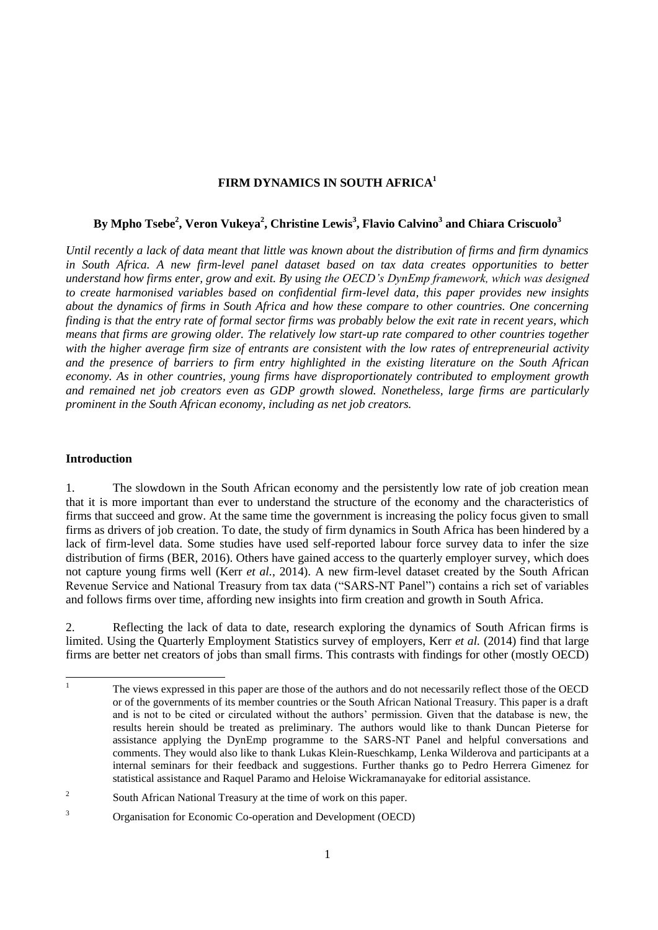# **FIRM DYNAMICS IN SOUTH AFRICA<sup>1</sup>**

# **By Mpho Tsebe<sup>2</sup> , Veron Vukeya<sup>2</sup> , Christine Lewis<sup>3</sup> , Flavio Calvino<sup>3</sup> and Chiara Criscuolo<sup>3</sup>**

*Until recently a lack of data meant that little was known about the distribution of firms and firm dynamics in South Africa. A new firm-level panel dataset based on tax data creates opportunities to better understand how firms enter, grow and exit. By using the OECD's DynEmp framework, which was designed to create harmonised variables based on confidential firm-level data, this paper provides new insights about the dynamics of firms in South Africa and how these compare to other countries. One concerning finding is that the entry rate of formal sector firms was probably below the exit rate in recent years, which means that firms are growing older. The relatively low start-up rate compared to other countries together with the higher average firm size of entrants are consistent with the low rates of entrepreneurial activity and the presence of barriers to firm entry highlighted in the existing literature on the South African economy. As in other countries, young firms have disproportionately contributed to employment growth and remained net job creators even as GDP growth slowed. Nonetheless, large firms are particularly prominent in the South African economy, including as net job creators.* 

## **Introduction**

1. The slowdown in the South African economy and the persistently low rate of job creation mean that it is more important than ever to understand the structure of the economy and the characteristics of firms that succeed and grow. At the same time the government is increasing the policy focus given to small firms as drivers of job creation. To date, the study of firm dynamics in South Africa has been hindered by a lack of firm-level data. Some studies have used self-reported labour force survey data to infer the size distribution of firms (BER, 2016). Others have gained access to the quarterly employer survey, which does not capture young firms well (Kerr *et al.*, 2014). A new firm-level dataset created by the South African Revenue Service and National Treasury from tax data ("SARS-NT Panel") contains a rich set of variables and follows firms over time, affording new insights into firm creation and growth in South Africa.

2. Reflecting the lack of data to date, research exploring the dynamics of South African firms is limited. Using the Quarterly Employment Statistics survey of employers, Kerr *et al.* (2014) find that large firms are better net creators of jobs than small firms. This contrasts with findings for other (mostly OECD)

 $\mathbf{1}$ <sup>1</sup> The views expressed in this paper are those of the authors and do not necessarily reflect those of the OECD or of the governments of its member countries or the South African National Treasury. This paper is a draft and is not to be cited or circulated without the authors' permission. Given that the database is new, the results herein should be treated as preliminary. The authors would like to thank Duncan Pieterse for assistance applying the DynEmp programme to the SARS-NT Panel and helpful conversations and comments. They would also like to thank Lukas Klein-Rueschkamp, Lenka Wilderova and participants at a internal seminars for their feedback and suggestions. Further thanks go to Pedro Herrera Gimenez for statistical assistance and Raquel Paramo and Heloise Wickramanayake for editorial assistance.

<sup>2</sup> South African National Treasury at the time of work on this paper.

<sup>3</sup> Organisation for Economic Co-operation and Development (OECD)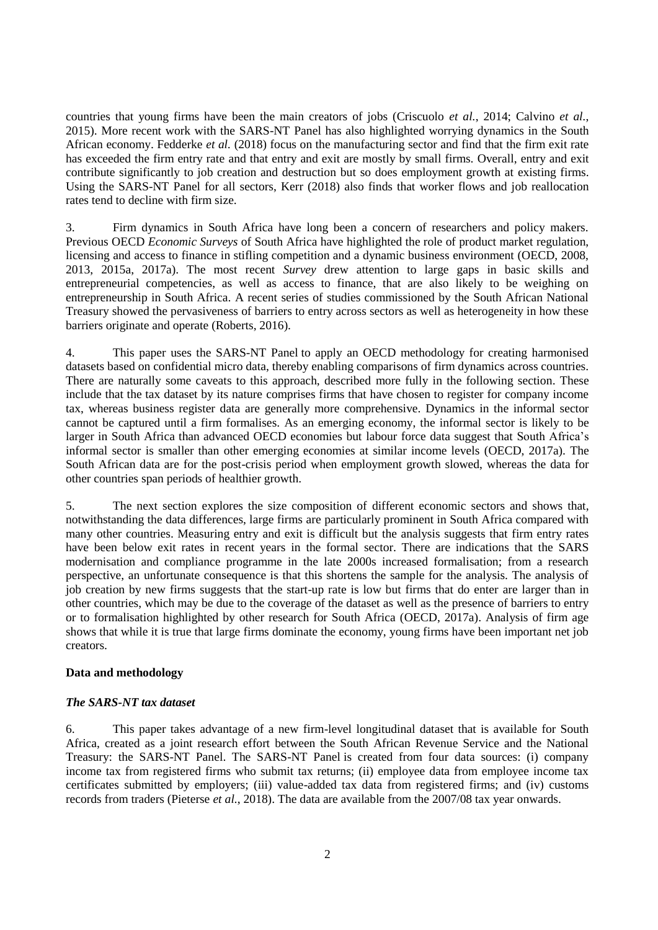countries that young firms have been the main creators of jobs (Criscuolo *et al.*, 2014; Calvino *et al.*, 2015). More recent work with the SARS-NT Panel has also highlighted worrying dynamics in the South African economy. Fedderke *et al.* (2018) focus on the manufacturing sector and find that the firm exit rate has exceeded the firm entry rate and that entry and exit are mostly by small firms. Overall, entry and exit contribute significantly to job creation and destruction but so does employment growth at existing firms. Using the SARS-NT Panel for all sectors, Kerr (2018) also finds that worker flows and job reallocation rates tend to decline with firm size.

3. Firm dynamics in South Africa have long been a concern of researchers and policy makers. Previous OECD *Economic Surveys* of South Africa have highlighted the role of product market regulation, licensing and access to finance in stifling competition and a dynamic business environment (OECD, 2008, 2013, 2015a, 2017a). The most recent *Survey* drew attention to large gaps in basic skills and entrepreneurial competencies, as well as access to finance, that are also likely to be weighing on entrepreneurship in South Africa. A recent series of studies commissioned by the South African National Treasury showed the pervasiveness of barriers to entry across sectors as well as heterogeneity in how these barriers originate and operate (Roberts, 2016).

4. This paper uses the SARS-NT Panel to apply an OECD methodology for creating harmonised datasets based on confidential micro data, thereby enabling comparisons of firm dynamics across countries. There are naturally some caveats to this approach, described more fully in the following section. These include that the tax dataset by its nature comprises firms that have chosen to register for company income tax, whereas business register data are generally more comprehensive. Dynamics in the informal sector cannot be captured until a firm formalises. As an emerging economy, the informal sector is likely to be larger in South Africa than advanced OECD economies but labour force data suggest that South Africa's informal sector is smaller than other emerging economies at similar income levels (OECD, 2017a). The South African data are for the post-crisis period when employment growth slowed, whereas the data for other countries span periods of healthier growth.

5. The next section explores the size composition of different economic sectors and shows that, notwithstanding the data differences, large firms are particularly prominent in South Africa compared with many other countries. Measuring entry and exit is difficult but the analysis suggests that firm entry rates have been below exit rates in recent years in the formal sector. There are indications that the SARS modernisation and compliance programme in the late 2000s increased formalisation; from a research perspective, an unfortunate consequence is that this shortens the sample for the analysis. The analysis of job creation by new firms suggests that the start-up rate is low but firms that do enter are larger than in other countries, which may be due to the coverage of the dataset as well as the presence of barriers to entry or to formalisation highlighted by other research for South Africa (OECD, 2017a). Analysis of firm age shows that while it is true that large firms dominate the economy, young firms have been important net job creators.

## **Data and methodology**

# *The SARS-NT tax dataset*

6. This paper takes advantage of a new firm-level longitudinal dataset that is available for South Africa, created as a joint research effort between the South African Revenue Service and the National Treasury: the SARS-NT Panel. The SARS-NT Panel is created from four data sources: (i) company income tax from registered firms who submit tax returns; (ii) employee data from employee income tax certificates submitted by employers; (iii) value-added tax data from registered firms; and (iv) customs records from traders (Pieterse *et al.*, 2018). The data are available from the 2007/08 tax year onwards.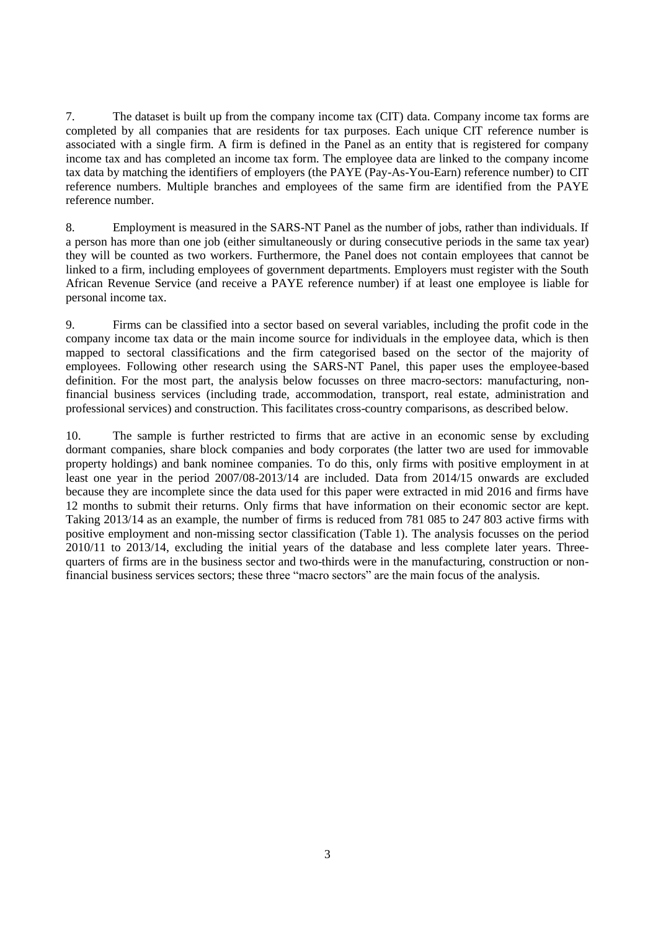7. The dataset is built up from the company income tax (CIT) data. Company income tax forms are completed by all companies that are residents for tax purposes. Each unique CIT reference number is associated with a single firm. A firm is defined in the Panel as an entity that is registered for company income tax and has completed an income tax form. The employee data are linked to the company income tax data by matching the identifiers of employers (the PAYE (Pay-As-You-Earn) reference number) to CIT reference numbers. Multiple branches and employees of the same firm are identified from the PAYE reference number.

8. Employment is measured in the SARS-NT Panel as the number of jobs, rather than individuals. If a person has more than one job (either simultaneously or during consecutive periods in the same tax year) they will be counted as two workers. Furthermore, the Panel does not contain employees that cannot be linked to a firm, including employees of government departments. Employers must register with the South African Revenue Service (and receive a PAYE reference number) if at least one employee is liable for personal income tax.

9. Firms can be classified into a sector based on several variables, including the profit code in the company income tax data or the main income source for individuals in the employee data, which is then mapped to sectoral classifications and the firm categorised based on the sector of the majority of employees. Following other research using the SARS-NT Panel, this paper uses the employee-based definition. For the most part, the analysis below focusses on three macro-sectors: manufacturing, nonfinancial business services (including trade, accommodation, transport, real estate, administration and professional services) and construction. This facilitates cross-country comparisons, as described below.

10. The sample is further restricted to firms that are active in an economic sense by excluding dormant companies, share block companies and body corporates (the latter two are used for immovable property holdings) and bank nominee companies. To do this, only firms with positive employment in at least one year in the period 2007/08-2013/14 are included. Data from 2014/15 onwards are excluded because they are incomplete since the data used for this paper were extracted in mid 2016 and firms have 12 months to submit their returns. Only firms that have information on their economic sector are kept. Taking 2013/14 as an example, the number of firms is reduced from 781 085 to 247 803 active firms with positive employment and non-missing sector classification (Table 1). The analysis focusses on the period 2010/11 to 2013/14, excluding the initial years of the database and less complete later years. Threequarters of firms are in the business sector and two-thirds were in the manufacturing, construction or nonfinancial business services sectors; these three "macro sectors" are the main focus of the analysis.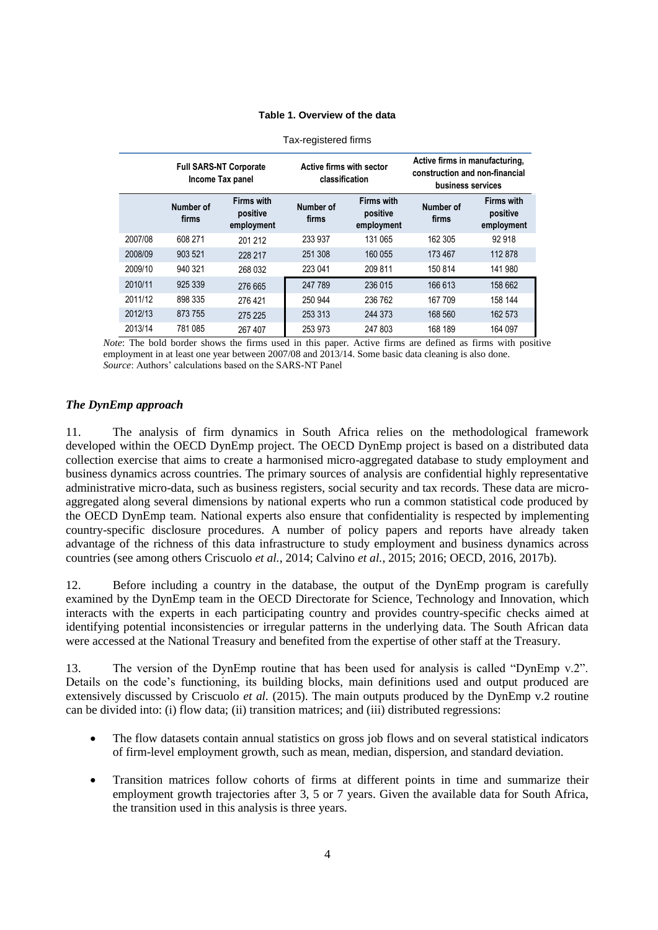## **Table 1. Overview of the data**

|         | <b>Full SARS-NT Corporate</b><br>Income Tax panel |                                             | Active firms with sector<br>classification |                                             | Active firms in manufacturing,<br>construction and non-financial<br>business services |                                             |  |
|---------|---------------------------------------------------|---------------------------------------------|--------------------------------------------|---------------------------------------------|---------------------------------------------------------------------------------------|---------------------------------------------|--|
|         | Number of<br>firms                                | <b>Firms with</b><br>positive<br>employment | Number of<br>firms                         | <b>Firms with</b><br>positive<br>employment | Number of<br>firms                                                                    | <b>Firms with</b><br>positive<br>employment |  |
| 2007/08 | 608 271                                           | 201 212                                     | 233 937                                    | 131 065                                     | 162 305                                                                               | 92 918                                      |  |
| 2008/09 | 903 521                                           | 228 217                                     | 251 308                                    | 160 055                                     | 173 467                                                                               | 112878                                      |  |
| 2009/10 | 940 321                                           | 268 032                                     | 223 041                                    | 209 811                                     | 150 814                                                                               | 141 980                                     |  |
| 2010/11 | 925 339                                           | 276 665                                     | 247 789                                    | 236 015                                     | 166 613                                                                               | 158 662                                     |  |
| 2011/12 | 898 335                                           | 276421                                      | 250 944                                    | 236 762                                     | 167 709                                                                               | 158 144                                     |  |
| 2012/13 | 873 755                                           | 275 225                                     | 253 313                                    | 244 373                                     | 168 560                                                                               | 162 573                                     |  |
| 2013/14 | 781 085                                           | 267 407                                     | 253 973                                    | 247 803                                     | 168 189                                                                               | 164 097                                     |  |

Tax-registered firms

*Note*: The bold border shows the firms used in this paper. Active firms are defined as firms with positive employment in at least one year between 2007/08 and 2013/14. Some basic data cleaning is also done. *Source*: Authors' calculations based on the SARS-NT Panel

# *The DynEmp approach*

11. The analysis of firm dynamics in South Africa relies on the methodological framework developed within the OECD DynEmp project. The OECD DynEmp project is based on a distributed data collection exercise that aims to create a harmonised micro-aggregated database to study employment and business dynamics across countries. The primary sources of analysis are confidential highly representative administrative micro-data, such as business registers, social security and tax records. These data are microaggregated along several dimensions by national experts who run a common statistical code produced by the OECD DynEmp team. National experts also ensure that confidentiality is respected by implementing country-specific disclosure procedures. A number of policy papers and reports have already taken advantage of the richness of this data infrastructure to study employment and business dynamics across countries (see among others Criscuolo *et al.*, 2014; Calvino *et al.*, 2015; 2016; OECD, 2016, 2017b).

12. Before including a country in the database, the output of the DynEmp program is carefully examined by the DynEmp team in the OECD Directorate for Science, Technology and Innovation, which interacts with the experts in each participating country and provides country-specific checks aimed at identifying potential inconsistencies or irregular patterns in the underlying data. The South African data were accessed at the National Treasury and benefited from the expertise of other staff at the Treasury.

13. The version of the DynEmp routine that has been used for analysis is called "DynEmp v.2". Details on the code's functioning, its building blocks, main definitions used and output produced are extensively discussed by Criscuolo *et al.* (2015). The main outputs produced by the DynEmp v.2 routine can be divided into: (i) flow data; (ii) transition matrices; and (iii) distributed regressions:

- The flow datasets contain annual statistics on gross job flows and on several statistical indicators of firm-level employment growth, such as mean, median, dispersion, and standard deviation.
- Transition matrices follow cohorts of firms at different points in time and summarize their employment growth trajectories after 3, 5 or 7 years. Given the available data for South Africa, the transition used in this analysis is three years.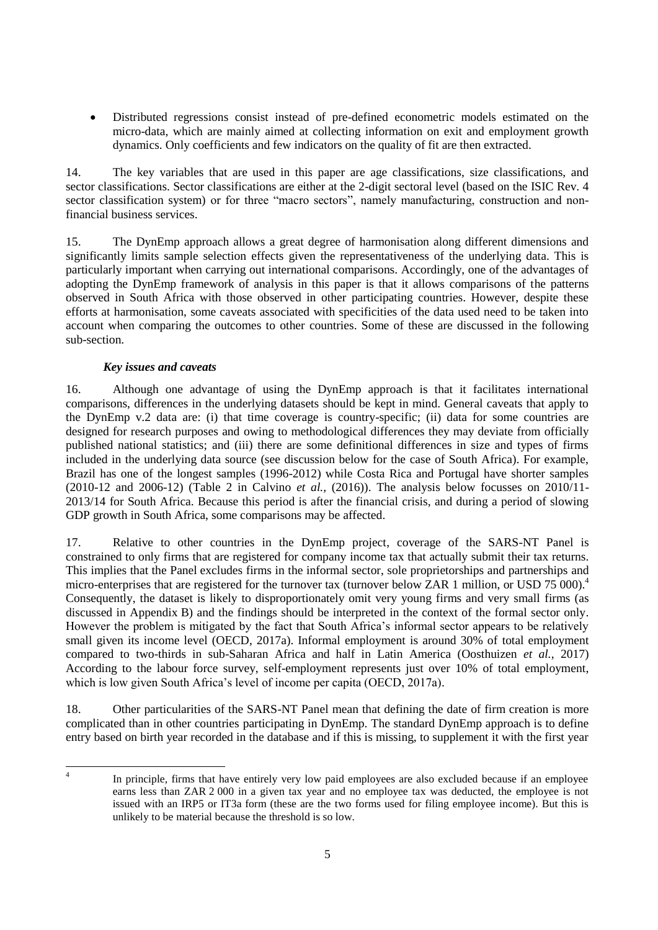Distributed regressions consist instead of pre-defined econometric models estimated on the micro-data, which are mainly aimed at collecting information on exit and employment growth dynamics. Only coefficients and few indicators on the quality of fit are then extracted.

14. The key variables that are used in this paper are age classifications, size classifications, and sector classifications. Sector classifications are either at the 2-digit sectoral level (based on the ISIC Rev. 4 sector classification system) or for three "macro sectors", namely manufacturing, construction and nonfinancial business services.

15. The DynEmp approach allows a great degree of harmonisation along different dimensions and significantly limits sample selection effects given the representativeness of the underlying data. This is particularly important when carrying out international comparisons. Accordingly, one of the advantages of adopting the DynEmp framework of analysis in this paper is that it allows comparisons of the patterns observed in South Africa with those observed in other participating countries. However, despite these efforts at harmonisation, some caveats associated with specificities of the data used need to be taken into account when comparing the outcomes to other countries. Some of these are discussed in the following sub-section.

# *Key issues and caveats*

16. Although one advantage of using the DynEmp approach is that it facilitates international comparisons, differences in the underlying datasets should be kept in mind. General caveats that apply to the DynEmp v.2 data are: (i) that time coverage is country-specific; (ii) data for some countries are designed for research purposes and owing to methodological differences they may deviate from officially published national statistics; and (iii) there are some definitional differences in size and types of firms included in the underlying data source (see discussion below for the case of South Africa). For example, Brazil has one of the longest samples (1996-2012) while Costa Rica and Portugal have shorter samples (2010-12 and 2006-12) (Table 2 in Calvino *et al.*, (2016)). The analysis below focusses on 2010/11- 2013/14 for South Africa. Because this period is after the financial crisis, and during a period of slowing GDP growth in South Africa, some comparisons may be affected.

17. Relative to other countries in the DynEmp project, coverage of the SARS-NT Panel is constrained to only firms that are registered for company income tax that actually submit their tax returns. This implies that the Panel excludes firms in the informal sector, sole proprietorships and partnerships and micro-enterprises that are registered for the turnover tax (turnover below ZAR 1 million, or USD 75 000).<sup>4</sup> Consequently, the dataset is likely to disproportionately omit very young firms and very small firms (as discussed in Appendix B) and the findings should be interpreted in the context of the formal sector only. However the problem is mitigated by the fact that South Africa's informal sector appears to be relatively small given its income level (OECD, 2017a). Informal employment is around 30% of total employment compared to two-thirds in sub-Saharan Africa and half in Latin America (Oosthuizen *et al.*, 2017) According to the labour force survey, self-employment represents just over 10% of total employment, which is low given South Africa's level of income per capita (OECD, 2017a).

18. Other particularities of the SARS-NT Panel mean that defining the date of firm creation is more complicated than in other countries participating in DynEmp. The standard DynEmp approach is to define entry based on birth year recorded in the database and if this is missing, to supplement it with the first year

 $\frac{1}{4}$ In principle, firms that have entirely very low paid employees are also excluded because if an employee earns less than ZAR 2 000 in a given tax year and no employee tax was deducted, the employee is not issued with an IRP5 or IT3a form (these are the two forms used for filing employee income). But this is unlikely to be material because the threshold is so low.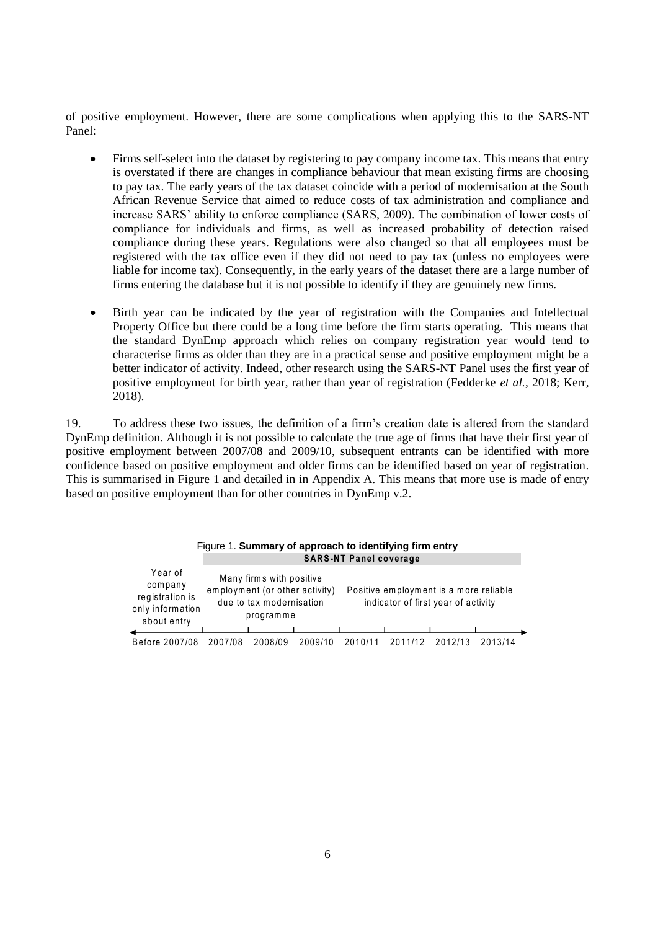of positive employment. However, there are some complications when applying this to the SARS-NT Panel:

- Firms self-select into the dataset by registering to pay company income tax. This means that entry is overstated if there are changes in compliance behaviour that mean existing firms are choosing to pay tax. The early years of the tax dataset coincide with a period of modernisation at the South African Revenue Service that aimed to reduce costs of tax administration and compliance and increase SARS' ability to enforce compliance (SARS, 2009). The combination of lower costs of compliance for individuals and firms, as well as increased probability of detection raised compliance during these years. Regulations were also changed so that all employees must be registered with the tax office even if they did not need to pay tax (unless no employees were liable for income tax). Consequently, in the early years of the dataset there are a large number of firms entering the database but it is not possible to identify if they are genuinely new firms.
- Birth year can be indicated by the year of registration with the Companies and Intellectual Property Office but there could be a long time before the firm starts operating. This means that the standard DynEmp approach which relies on company registration year would tend to characterise firms as older than they are in a practical sense and positive employment might be a better indicator of activity. Indeed, other research using the SARS-NT Panel uses the first year of positive employment for birth year, rather than year of registration (Fedderke *et al.*, 2018; Kerr, 2018).

19. To address these two issues, the definition of a firm's creation date is altered from the standard DynEmp definition. Although it is not possible to calculate the true age of firms that have their first year of positive employment between 2007/08 and 2009/10, subsequent entrants can be identified with more confidence based on positive employment and older firms can be identified based on year of registration. This is summarised in Figure 1 and detailed in in Appendix A. This means that more use is made of entry based on positive employment than for other countries in DynEmp v.2.

| Figure 1. Summary of approach to identifying firm entry<br><b>SARS-NT Panel coverage</b> |         |                                                                                                     |         |                                                                               |         |         |         |  |  |
|------------------------------------------------------------------------------------------|---------|-----------------------------------------------------------------------------------------------------|---------|-------------------------------------------------------------------------------|---------|---------|---------|--|--|
| Year of<br>company<br>registration is<br>only information<br>about entry                 |         | Many firms with positive<br>employment (or other activity)<br>due to tax modernisation<br>programme |         | Positive employment is a more reliable<br>indicator of first year of activity |         |         |         |  |  |
| Before 2007/08                                                                           | 2007/08 | 2008/09                                                                                             | 2009/10 | 2010/1                                                                        | 2011/12 | 2012/13 | 2013/14 |  |  |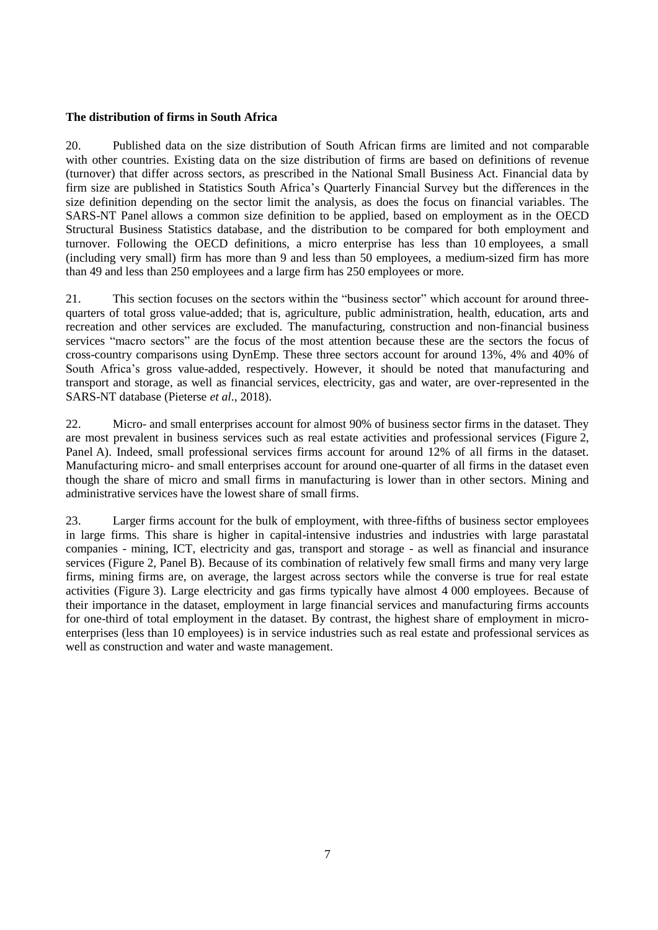## **The distribution of firms in South Africa**

20. Published data on the size distribution of South African firms are limited and not comparable with other countries. Existing data on the size distribution of firms are based on definitions of revenue (turnover) that differ across sectors, as prescribed in the National Small Business Act. Financial data by firm size are published in Statistics South Africa's Quarterly Financial Survey but the differences in the size definition depending on the sector limit the analysis, as does the focus on financial variables. The SARS-NT Panel allows a common size definition to be applied, based on employment as in the OECD Structural Business Statistics database, and the distribution to be compared for both employment and turnover. Following the OECD definitions, a micro enterprise has less than 10 employees, a small (including very small) firm has more than 9 and less than 50 employees, a medium-sized firm has more than 49 and less than 250 employees and a large firm has 250 employees or more.

21. This section focuses on the sectors within the "business sector" which account for around threequarters of total gross value-added; that is, agriculture, public administration, health, education, arts and recreation and other services are excluded. The manufacturing, construction and non-financial business services "macro sectors" are the focus of the most attention because these are the sectors the focus of cross-country comparisons using DynEmp. These three sectors account for around 13%, 4% and 40% of South Africa's gross value-added, respectively. However, it should be noted that manufacturing and transport and storage, as well as financial services, electricity, gas and water, are over-represented in the SARS-NT database (Pieterse *et al*., 2018).

22. Micro- and small enterprises account for almost 90% of business sector firms in the dataset. They are most prevalent in business services such as real estate activities and professional services (Figure 2, Panel A). Indeed, small professional services firms account for around 12% of all firms in the dataset. Manufacturing micro- and small enterprises account for around one-quarter of all firms in the dataset even though the share of micro and small firms in manufacturing is lower than in other sectors. Mining and administrative services have the lowest share of small firms.

23. Larger firms account for the bulk of employment, with three-fifths of business sector employees in large firms. This share is higher in capital-intensive industries and industries with large parastatal companies - mining, ICT, electricity and gas, transport and storage - as well as financial and insurance services (Figure 2, Panel B). Because of its combination of relatively few small firms and many very large firms, mining firms are, on average, the largest across sectors while the converse is true for real estate activities (Figure 3). Large electricity and gas firms typically have almost 4 000 employees. Because of their importance in the dataset, employment in large financial services and manufacturing firms accounts for one-third of total employment in the dataset. By contrast, the highest share of employment in microenterprises (less than 10 employees) is in service industries such as real estate and professional services as well as construction and water and waste management.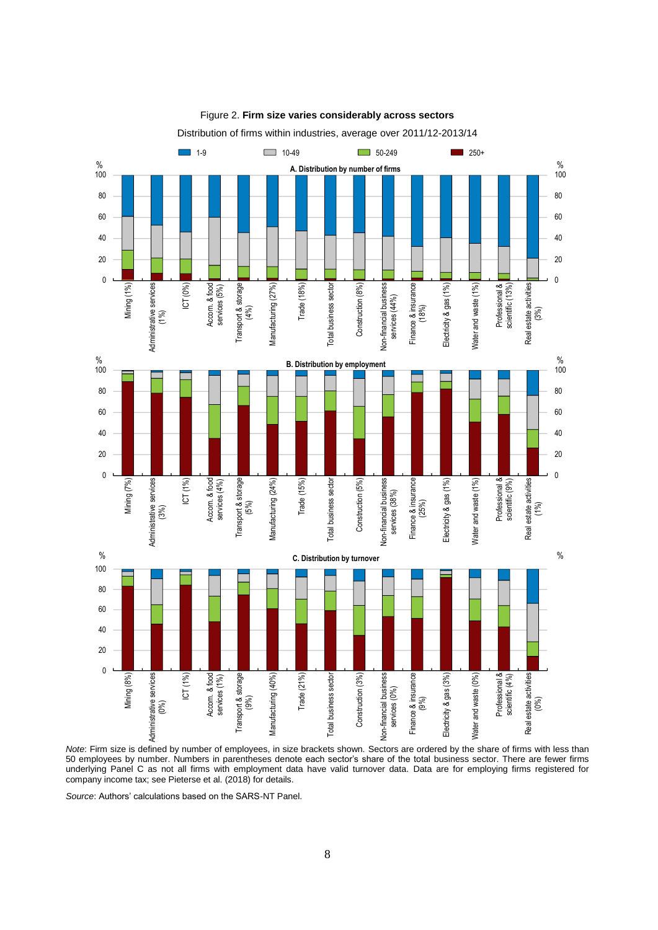

Figure 2. **Firm size varies considerably across sectors**

*Note*: Firm size is defined by number of employees, in size brackets shown. Sectors are ordered by the share of firms with less than 50 employees by number. Numbers in parentheses denote each sector's share of the total business sector. There are fewer firms underlying Panel C as not all firms with employment data have valid turnover data. Data are for employing firms registered for company income tax; see Pieterse et al. (2018) for details.

*Source*: Authors' calculations based on the SARS-NT Panel.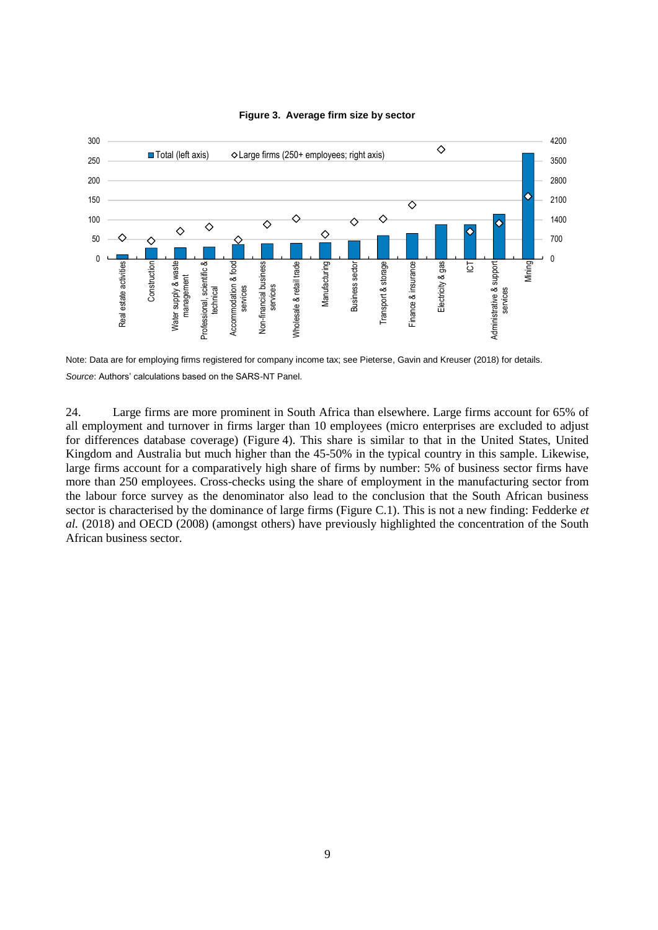

## **Figure 3. Average firm size by sector**

Note: Data are for employing firms registered for company income tax; see Pieterse, Gavin and Kreuser (2018) for details. *Source*: Authors' calculations based on the SARS-NT Panel.

24. Large firms are more prominent in South Africa than elsewhere. Large firms account for 65% of all employment and turnover in firms larger than 10 employees (micro enterprises are excluded to adjust for differences database coverage) (Figure 4). This share is similar to that in the United States, United Kingdom and Australia but much higher than the 45-50% in the typical country in this sample. Likewise, large firms account for a comparatively high share of firms by number: 5% of business sector firms have more than 250 employees. Cross-checks using the share of employment in the manufacturing sector from the labour force survey as the denominator also lead to the conclusion that the South African business sector is characterised by the dominance of large firms (Figure C.1). This is not a new finding: Fedderke *et al.* (2018) and OECD (2008) (amongst others) have previously highlighted the concentration of the South African business sector.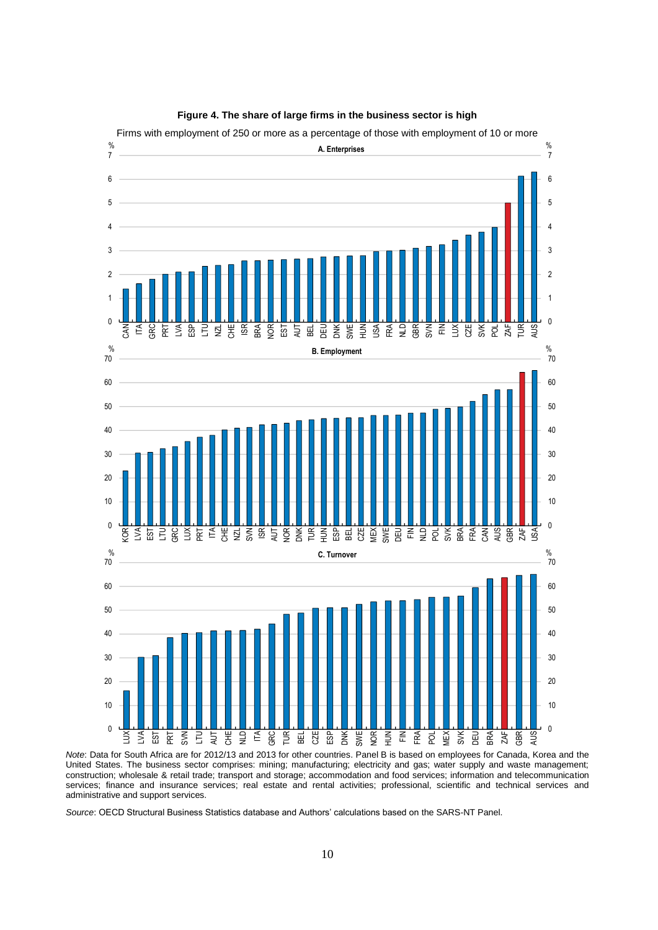

### **Figure 4. The share of large firms in the business sector is high**

*Note*: Data for South Africa are for 2012/13 and 2013 for other countries. Panel B is based on employees for Canada, Korea and the United States. The business sector comprises: mining; manufacturing; electricity and gas; water supply and waste management; construction; wholesale & retail trade; transport and storage; accommodation and food services; information and telecommunication services; finance and insurance services; real estate and rental activities; professional, scientific and technical services and administrative and support services.

*Source*: OECD Structural Business Statistics database and Authors' calculations based on the SARS-NT Panel.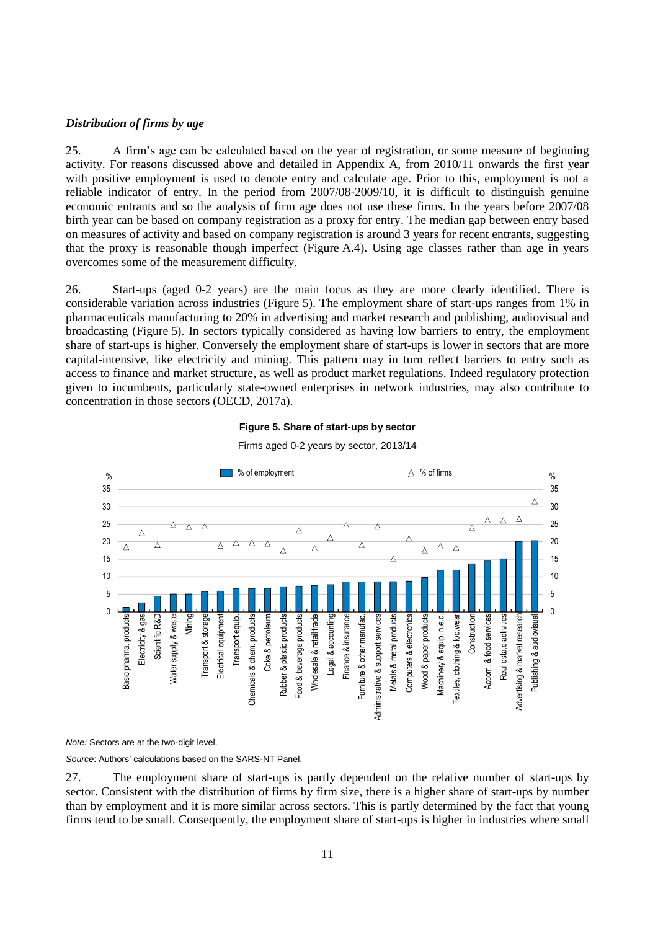### *Distribution of firms by age*

25. A firm's age can be calculated based on the year of registration, or some measure of beginning activity. For reasons discussed above and detailed in Appendix A, from 2010/11 onwards the first year with positive employment is used to denote entry and calculate age. Prior to this, employment is not a reliable indicator of entry. In the period from 2007/08-2009/10, it is difficult to distinguish genuine economic entrants and so the analysis of firm age does not use these firms. In the years before 2007/08 birth year can be based on company registration as a proxy for entry. The median gap between entry based on measures of activity and based on company registration is around 3 years for recent entrants, suggesting that the proxy is reasonable though imperfect (Figure A.4). Using age classes rather than age in years overcomes some of the measurement difficulty.

26. Start-ups (aged 0-2 years) are the main focus as they are more clearly identified. There is considerable variation across industries (Figure 5). The employment share of start-ups ranges from 1% in pharmaceuticals manufacturing to 20% in advertising and market research and publishing, audiovisual and broadcasting (Figure 5). In sectors typically considered as having low barriers to entry, the employment share of start-ups is higher. Conversely the employment share of start-ups is lower in sectors that are more capital-intensive, like electricity and mining. This pattern may in turn reflect barriers to entry such as access to finance and market structure, as well as product market regulations. Indeed regulatory protection given to incumbents, particularly state-owned enterprises in network industries, may also contribute to concentration in those sectors (OECD, 2017a).

### **Figure 5. Share of start-ups by sector**



Firms aged 0-2 years by sector, 2013/14

*Note:* Sectors are at the two-digit level.

*Source*: Authors' calculations based on the SARS-NT Panel.

27. The employment share of start-ups is partly dependent on the relative number of start-ups by sector. Consistent with the distribution of firms by firm size, there is a higher share of start-ups by number than by employment and it is more similar across sectors. This is partly determined by the fact that young firms tend to be small. Consequently, the employment share of start-ups is higher in industries where small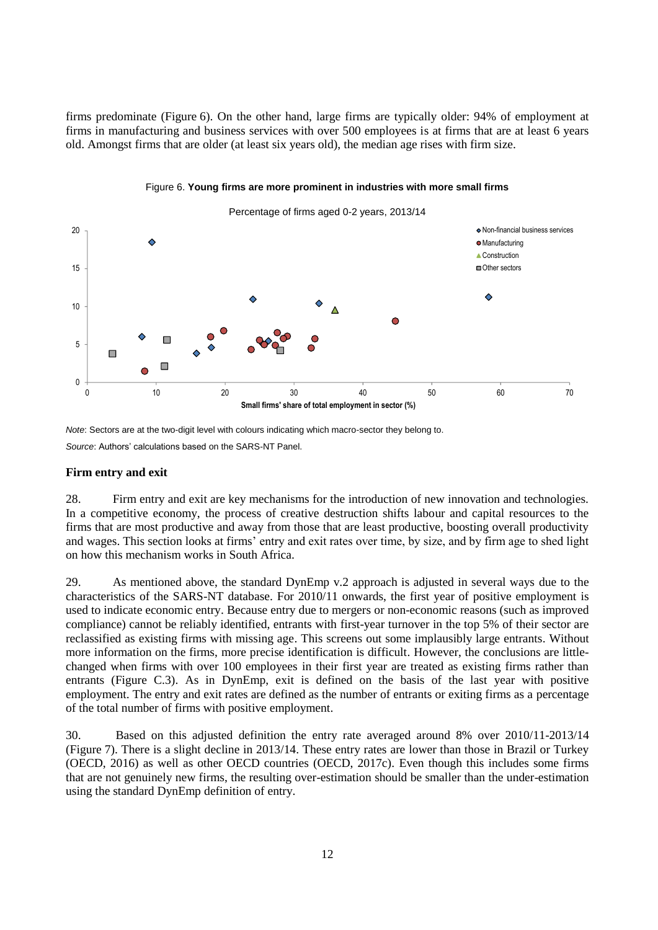firms predominate (Figure 6). On the other hand, large firms are typically older: 94% of employment at firms in manufacturing and business services with over 500 employees is at firms that are at least 6 years old. Amongst firms that are older (at least six years old), the median age rises with firm size.



### Figure 6. **Young firms are more prominent in industries with more small firms**

*Note*: Sectors are at the two-digit level with colours indicating which macro-sector they belong to. *Source*: Authors' calculations based on the SARS-NT Panel.

## **Firm entry and exit**

28. Firm entry and exit are key mechanisms for the introduction of new innovation and technologies. In a competitive economy, the process of creative destruction shifts labour and capital resources to the firms that are most productive and away from those that are least productive, boosting overall productivity and wages. This section looks at firms' entry and exit rates over time, by size, and by firm age to shed light on how this mechanism works in South Africa.

29. As mentioned above, the standard DynEmp v.2 approach is adjusted in several ways due to the characteristics of the SARS-NT database. For 2010/11 onwards, the first year of positive employment is used to indicate economic entry. Because entry due to mergers or non-economic reasons (such as improved compliance) cannot be reliably identified, entrants with first-year turnover in the top 5% of their sector are reclassified as existing firms with missing age. This screens out some implausibly large entrants. Without more information on the firms, more precise identification is difficult. However, the conclusions are littlechanged when firms with over 100 employees in their first year are treated as existing firms rather than entrants (Figure C.3). As in DynEmp, exit is defined on the basis of the last year with positive employment. The entry and exit rates are defined as the number of entrants or exiting firms as a percentage of the total number of firms with positive employment.

30. Based on this adjusted definition the entry rate averaged around 8% over 2010/11-2013/14 (Figure 7). There is a slight decline in 2013/14. These entry rates are lower than those in Brazil or Turkey (OECD, 2016) as well as other OECD countries (OECD, 2017c). Even though this includes some firms that are not genuinely new firms, the resulting over-estimation should be smaller than the under-estimation using the standard DynEmp definition of entry.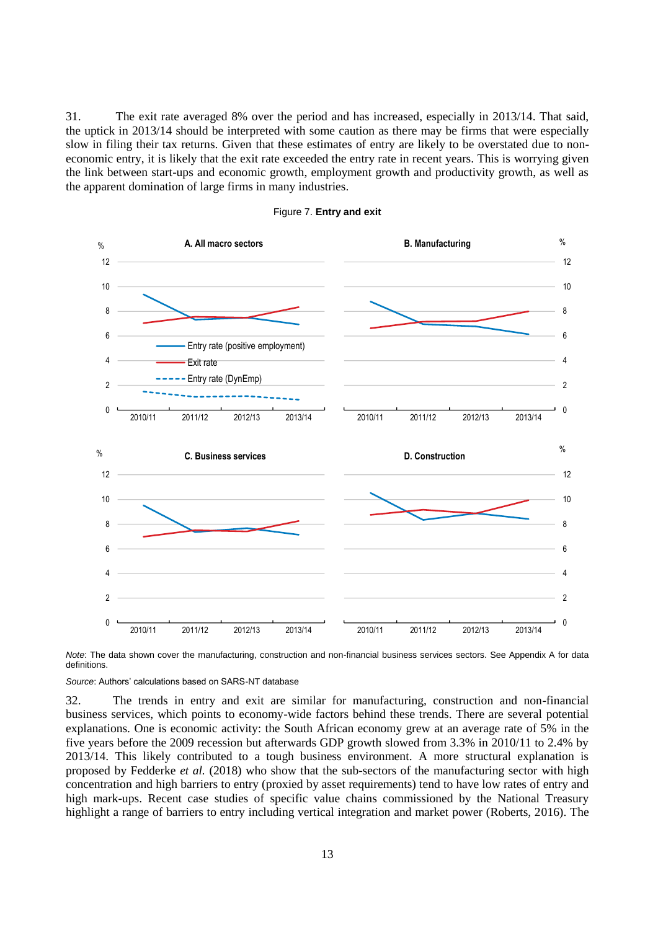31. The exit rate averaged 8% over the period and has increased, especially in 2013/14. That said, the uptick in 2013/14 should be interpreted with some caution as there may be firms that were especially slow in filing their tax returns. Given that these estimates of entry are likely to be overstated due to noneconomic entry, it is likely that the exit rate exceeded the entry rate in recent years. This is worrying given the link between start-ups and economic growth, employment growth and productivity growth, as well as the apparent domination of large firms in many industries.



### Figure 7. **Entry and exit**

*Note*: The data shown cover the manufacturing, construction and non-financial business services sectors. See Appendix A for data definitions.

*Source*: Authors' calculations based on SARS-NT database

32. The trends in entry and exit are similar for manufacturing, construction and non-financial business services, which points to economy-wide factors behind these trends. There are several potential explanations. One is economic activity: the South African economy grew at an average rate of 5% in the five years before the 2009 recession but afterwards GDP growth slowed from 3.3% in 2010/11 to 2.4% by 2013/14. This likely contributed to a tough business environment. A more structural explanation is proposed by Fedderke *et al.* (2018) who show that the sub-sectors of the manufacturing sector with high concentration and high barriers to entry (proxied by asset requirements) tend to have low rates of entry and high mark-ups. Recent case studies of specific value chains commissioned by the National Treasury highlight a range of barriers to entry including vertical integration and market power (Roberts, 2016). The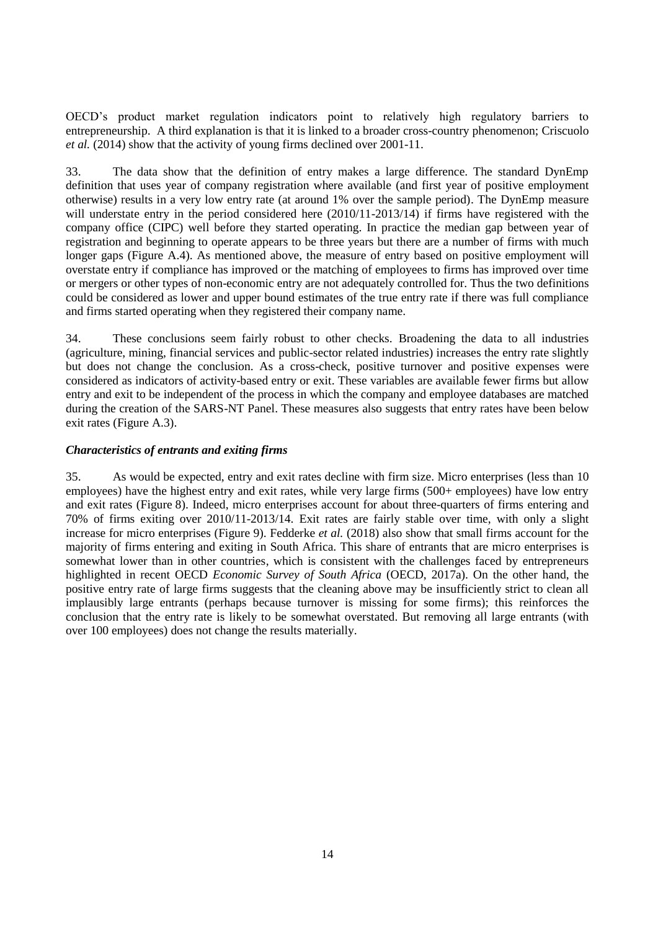OECD's product market regulation indicators point to relatively high regulatory barriers to entrepreneurship. A third explanation is that it is linked to a broader cross-country phenomenon; Criscuolo *et al.* (2014) show that the activity of young firms declined over 2001-11.

33. The data show that the definition of entry makes a large difference. The standard DynEmp definition that uses year of company registration where available (and first year of positive employment otherwise) results in a very low entry rate (at around 1% over the sample period). The DynEmp measure will understate entry in the period considered here  $(2010/11-2013/14)$  if firms have registered with the company office (CIPC) well before they started operating. In practice the median gap between year of registration and beginning to operate appears to be three years but there are a number of firms with much longer gaps (Figure A.4). As mentioned above, the measure of entry based on positive employment will overstate entry if compliance has improved or the matching of employees to firms has improved over time or mergers or other types of non-economic entry are not adequately controlled for. Thus the two definitions could be considered as lower and upper bound estimates of the true entry rate if there was full compliance and firms started operating when they registered their company name.

34. These conclusions seem fairly robust to other checks. Broadening the data to all industries (agriculture, mining, financial services and public-sector related industries) increases the entry rate slightly but does not change the conclusion. As a cross-check, positive turnover and positive expenses were considered as indicators of activity-based entry or exit. These variables are available fewer firms but allow entry and exit to be independent of the process in which the company and employee databases are matched during the creation of the SARS-NT Panel. These measures also suggests that entry rates have been below exit rates (Figure A.3).

# *Characteristics of entrants and exiting firms*

35. As would be expected, entry and exit rates decline with firm size. Micro enterprises (less than 10 employees) have the highest entry and exit rates, while very large firms (500+ employees) have low entry and exit rates (Figure 8). Indeed, micro enterprises account for about three-quarters of firms entering and 70% of firms exiting over 2010/11-2013/14. Exit rates are fairly stable over time, with only a slight increase for micro enterprises (Figure 9). Fedderke *et al.* (2018) also show that small firms account for the majority of firms entering and exiting in South Africa. This share of entrants that are micro enterprises is somewhat lower than in other countries, which is consistent with the challenges faced by entrepreneurs highlighted in recent OECD *Economic Survey of South Africa* (OECD, 2017a). On the other hand, the positive entry rate of large firms suggests that the cleaning above may be insufficiently strict to clean all implausibly large entrants (perhaps because turnover is missing for some firms); this reinforces the conclusion that the entry rate is likely to be somewhat overstated. But removing all large entrants (with over 100 employees) does not change the results materially.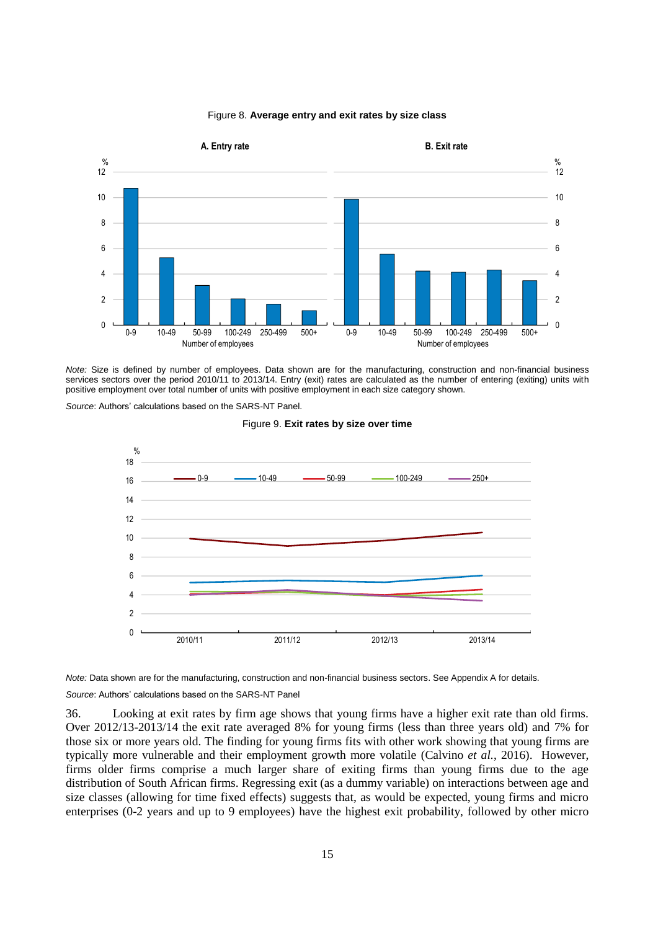

## Figure 8. **Average entry and exit rates by size class**

*Note:* Size is defined by number of employees. Data shown are for the manufacturing, construction and non-financial business services sectors over the period 2010/11 to 2013/14. Entry (exit) rates are calculated as the number of entering (exiting) units with positive employment over total number of units with positive employment in each size category shown.

*Source*: Authors' calculations based on the SARS-NT Panel.

#### Figure 9. **Exit rates by size over time**



*Note:* Data shown are for the manufacturing, construction and non-financial business sectors. See Appendix A for details.

### *Source*: Authors' calculations based on the SARS-NT Panel

36. Looking at exit rates by firm age shows that young firms have a higher exit rate than old firms. Over 2012/13-2013/14 the exit rate averaged 8% for young firms (less than three years old) and 7% for those six or more years old. The finding for young firms fits with other work showing that young firms are typically more vulnerable and their employment growth more volatile (Calvino *et al.*, 2016). However, firms older firms comprise a much larger share of exiting firms than young firms due to the age distribution of South African firms. Regressing exit (as a dummy variable) on interactions between age and size classes (allowing for time fixed effects) suggests that, as would be expected, young firms and micro enterprises (0-2 years and up to 9 employees) have the highest exit probability, followed by other micro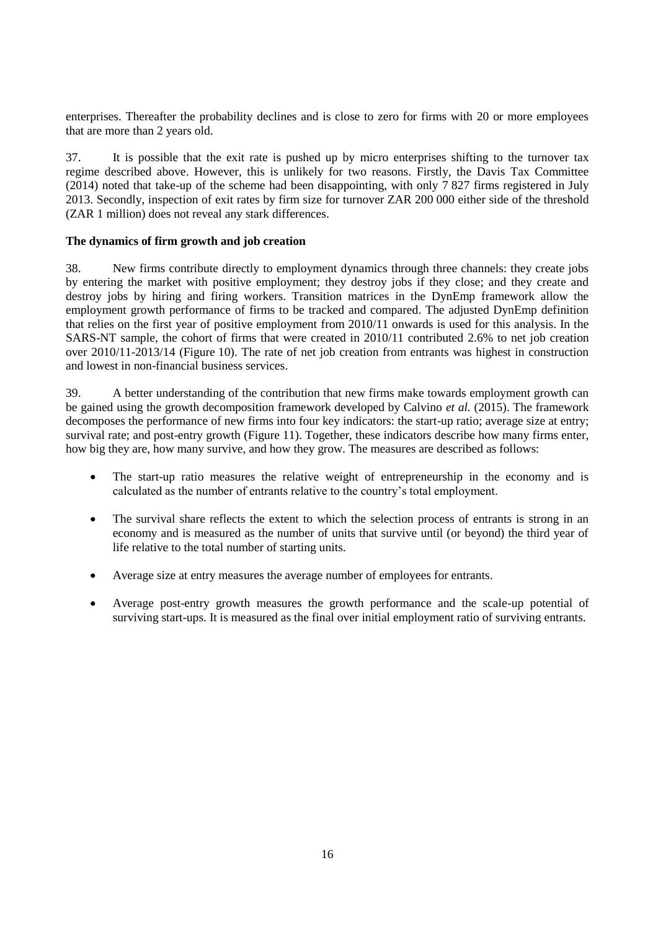enterprises. Thereafter the probability declines and is close to zero for firms with 20 or more employees that are more than 2 years old.

37. It is possible that the exit rate is pushed up by micro enterprises shifting to the turnover tax regime described above. However, this is unlikely for two reasons. Firstly, the Davis Tax Committee (2014) noted that take-up of the scheme had been disappointing, with only 7 827 firms registered in July 2013. Secondly, inspection of exit rates by firm size for turnover ZAR 200 000 either side of the threshold (ZAR 1 million) does not reveal any stark differences.

# **The dynamics of firm growth and job creation**

38. New firms contribute directly to employment dynamics through three channels: they create jobs by entering the market with positive employment; they destroy jobs if they close; and they create and destroy jobs by hiring and firing workers. Transition matrices in the DynEmp framework allow the employment growth performance of firms to be tracked and compared. The adjusted DynEmp definition that relies on the first year of positive employment from 2010/11 onwards is used for this analysis. In the SARS-NT sample, the cohort of firms that were created in 2010/11 contributed 2.6% to net job creation over 2010/11-2013/14 (Figure 10). The rate of net job creation from entrants was highest in construction and lowest in non-financial business services.

39. A better understanding of the contribution that new firms make towards employment growth can be gained using the growth decomposition framework developed by Calvino *et al.* (2015). The framework decomposes the performance of new firms into four key indicators: the start-up ratio; average size at entry; survival rate; and post-entry growth (Figure 11). Together, these indicators describe how many firms enter, how big they are, how many survive, and how they grow. The measures are described as follows:

- The start-up ratio measures the relative weight of entrepreneurship in the economy and is calculated as the number of entrants relative to the country's total employment.
- The survival share reflects the extent to which the selection process of entrants is strong in an economy and is measured as the number of units that survive until (or beyond) the third year of life relative to the total number of starting units.
- Average size at entry measures the average number of employees for entrants.
- Average post-entry growth measures the growth performance and the scale-up potential of surviving start-ups. It is measured as the final over initial employment ratio of surviving entrants.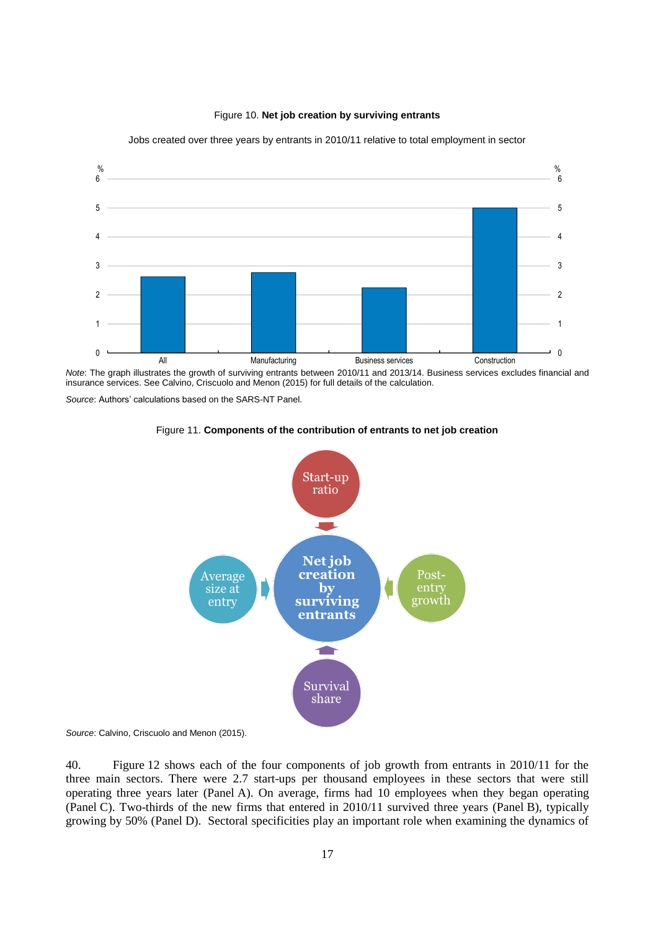



Jobs created over three years by entrants in 2010/11 relative to total employment in sector

*Note*: The graph illustrates the growth of surviving entrants between 2010/11 and 2013/14. Business services excludes financial and insurance services. See Calvino, Criscuolo and Menon (2015) for full details of the calculation.

*Source*: Authors' calculations based on the SARS-NT Panel.



Figure 11. **Components of the contribution of entrants to net job creation** 

*Source*: Calvino, Criscuolo and Menon (2015).

40. Figure 12 shows each of the four components of job growth from entrants in 2010/11 for the three main sectors. There were 2.7 start-ups per thousand employees in these sectors that were still operating three years later (Panel A). On average, firms had 10 employees when they began operating (Panel C). Two-thirds of the new firms that entered in 2010/11 survived three years (Panel B), typically growing by 50% (Panel D). Sectoral specificities play an important role when examining the dynamics of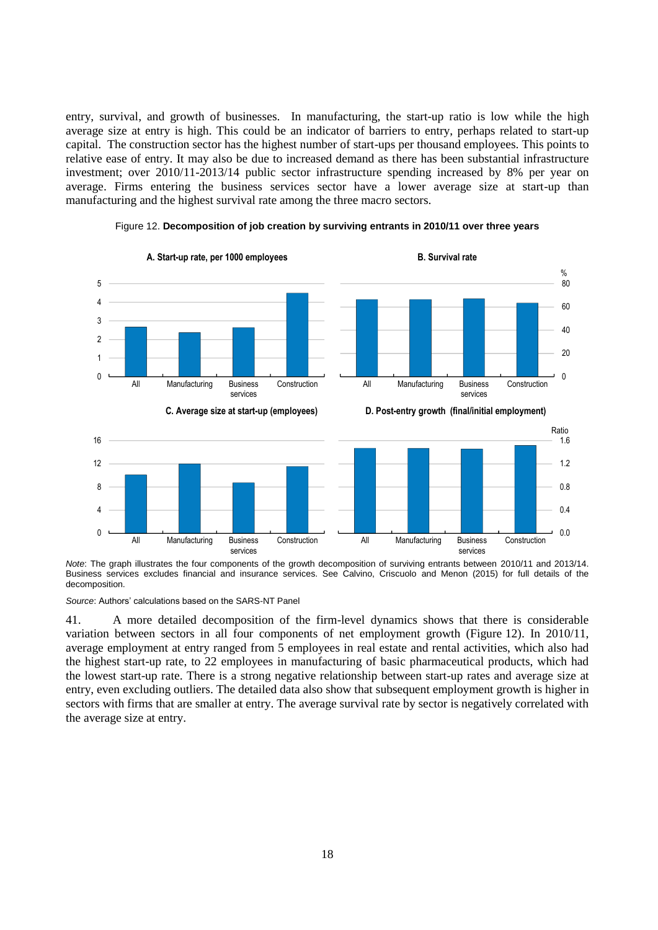entry, survival, and growth of businesses. In manufacturing, the start-up ratio is low while the high average size at entry is high. This could be an indicator of barriers to entry, perhaps related to start-up capital. The construction sector has the highest number of start-ups per thousand employees. This points to relative ease of entry. It may also be due to increased demand as there has been substantial infrastructure investment; over 2010/11-2013/14 public sector infrastructure spending increased by 8% per year on average. Firms entering the business services sector have a lower average size at start-up than manufacturing and the highest survival rate among the three macro sectors.



Figure 12. **Decomposition of job creation by surviving entrants in 2010/11 over three years** 

*Note*: The graph illustrates the four components of the growth decomposition of surviving entrants between 2010/11 and 2013/14. Business services excludes financial and insurance services. See Calvino, Criscuolo and Menon (2015) for full details of the decomposition.

*Source*: Authors' calculations based on the SARS-NT Panel

41. A more detailed decomposition of the firm-level dynamics shows that there is considerable variation between sectors in all four components of net employment growth (Figure 12). In 2010/11, average employment at entry ranged from 5 employees in real estate and rental activities, which also had the highest start-up rate, to 22 employees in manufacturing of basic pharmaceutical products, which had the lowest start-up rate. There is a strong negative relationship between start-up rates and average size at entry, even excluding outliers. The detailed data also show that subsequent employment growth is higher in sectors with firms that are smaller at entry. The average survival rate by sector is negatively correlated with the average size at entry.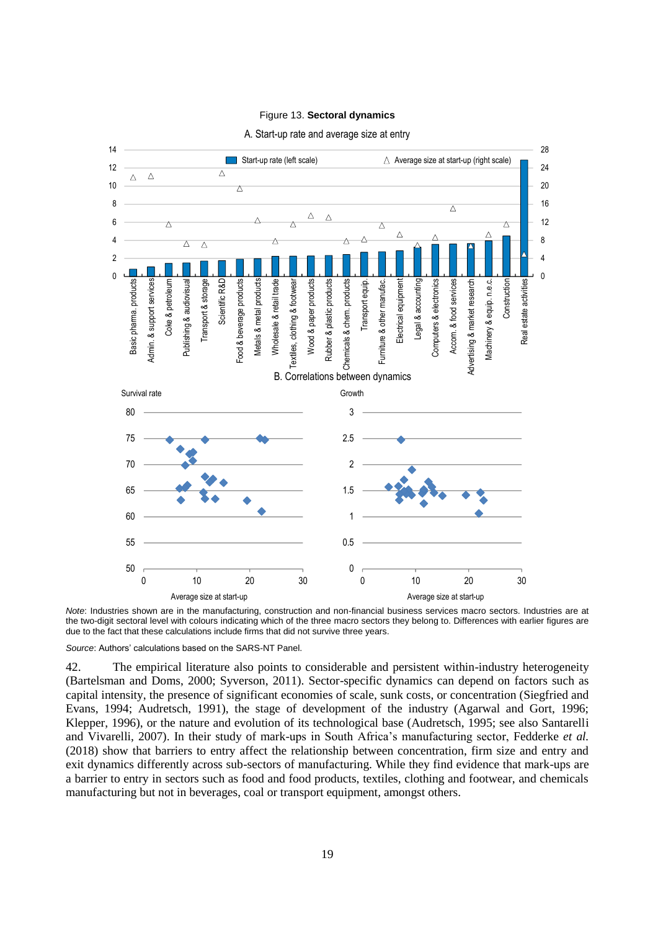## Figure 13. **Sectoral dynamics**



#### A. Start-up rate and average size at entry

*Note*: Industries shown are in the manufacturing, construction and non-financial business services macro sectors. Industries are at the two-digit sectoral level with colours indicating which of the three macro sectors they belong to. Differences with earlier figures are due to the fact that these calculations include firms that did not survive three years.

*Source*: Authors' calculations based on the SARS-NT Panel.

42. The empirical literature also points to considerable and persistent within-industry heterogeneity (Bartelsman and Doms, 2000; Syverson, 2011). Sector-specific dynamics can depend on factors such as capital intensity, the presence of significant economies of scale, sunk costs, or concentration (Siegfried and Evans, 1994; Audretsch, 1991), the stage of development of the industry (Agarwal and Gort, 1996; Klepper, 1996), or the nature and evolution of its technological base (Audretsch, 1995; see also Santarelli and Vivarelli, 2007). In their study of mark-ups in South Africa's manufacturing sector, Fedderke *et al.* (2018) show that barriers to entry affect the relationship between concentration, firm size and entry and exit dynamics differently across sub-sectors of manufacturing. While they find evidence that mark-ups are a barrier to entry in sectors such as food and food products, textiles, clothing and footwear, and chemicals manufacturing but not in beverages, coal or transport equipment, amongst others.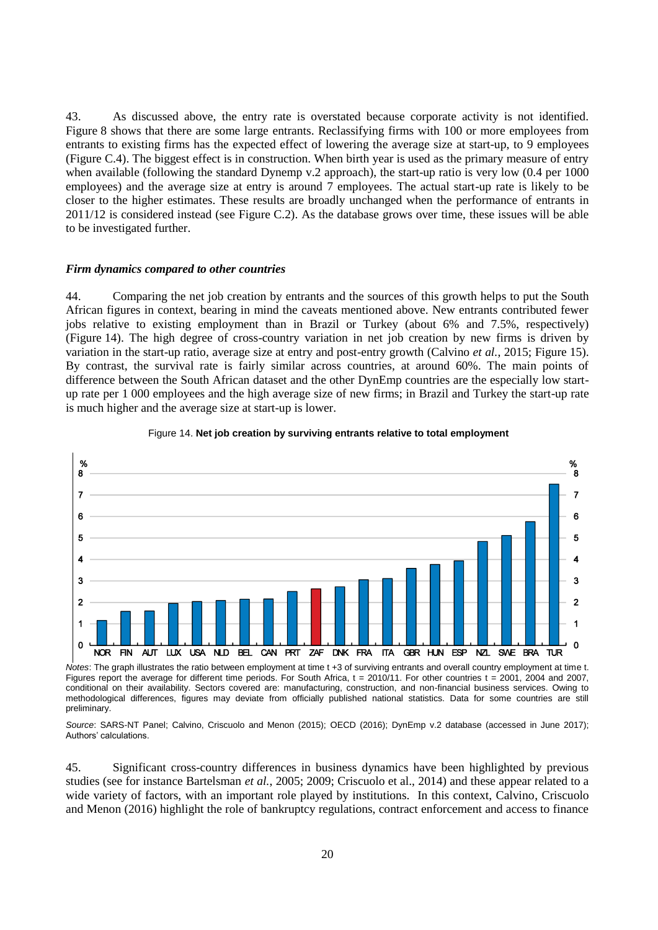43. As discussed above, the entry rate is overstated because corporate activity is not identified. Figure 8 shows that there are some large entrants. Reclassifying firms with 100 or more employees from entrants to existing firms has the expected effect of lowering the average size at start-up, to 9 employees (Figure C.4). The biggest effect is in construction. When birth year is used as the primary measure of entry when available (following the standard Dynemp v.2 approach), the start-up ratio is very low (0.4 per 1000 employees) and the average size at entry is around 7 employees. The actual start-up rate is likely to be closer to the higher estimates. These results are broadly unchanged when the performance of entrants in 2011/12 is considered instead (see Figure C.2). As the database grows over time, these issues will be able to be investigated further.

### *Firm dynamics compared to other countries*

44. Comparing the net job creation by entrants and the sources of this growth helps to put the South African figures in context, bearing in mind the caveats mentioned above. New entrants contributed fewer jobs relative to existing employment than in Brazil or Turkey (about 6% and 7.5%, respectively) (Figure 14). The high degree of cross-country variation in net job creation by new firms is driven by variation in the start-up ratio, average size at entry and post-entry growth (Calvino *et al.*, 2015; Figure 15). By contrast, the survival rate is fairly similar across countries, at around 60%. The main points of difference between the South African dataset and the other DynEmp countries are the especially low startup rate per 1 000 employees and the high average size of new firms; in Brazil and Turkey the start-up rate is much higher and the average size at start-up is lower.



#### Figure 14. **Net job creation by surviving entrants relative to total employment**

*Notes*: The graph illustrates the ratio between employment at time t +3 of surviving entrants and overall country employment at time t. Figures report the average for different time periods. For South Africa,  $t = 2010/11$ . For other countries  $t = 2001$ , 2004 and 2007, conditional on their availability. Sectors covered are: manufacturing, construction, and non-financial business services. Owing to methodological differences, figures may deviate from officially published national statistics. Data for some countries are still preliminary.

*Source*: SARS-NT Panel; Calvino, Criscuolo and Menon (2015); OECD (2016); DynEmp v.2 database (accessed in June 2017); Authors' calculations.

45. Significant cross-country differences in business dynamics have been highlighted by previous studies (see for instance Bartelsman *et al.*, 2005; 2009; Criscuolo et al., 2014) and these appear related to a wide variety of factors, with an important role played by institutions. In this context, Calvino, Criscuolo and Menon (2016) highlight the role of bankruptcy regulations, contract enforcement and access to finance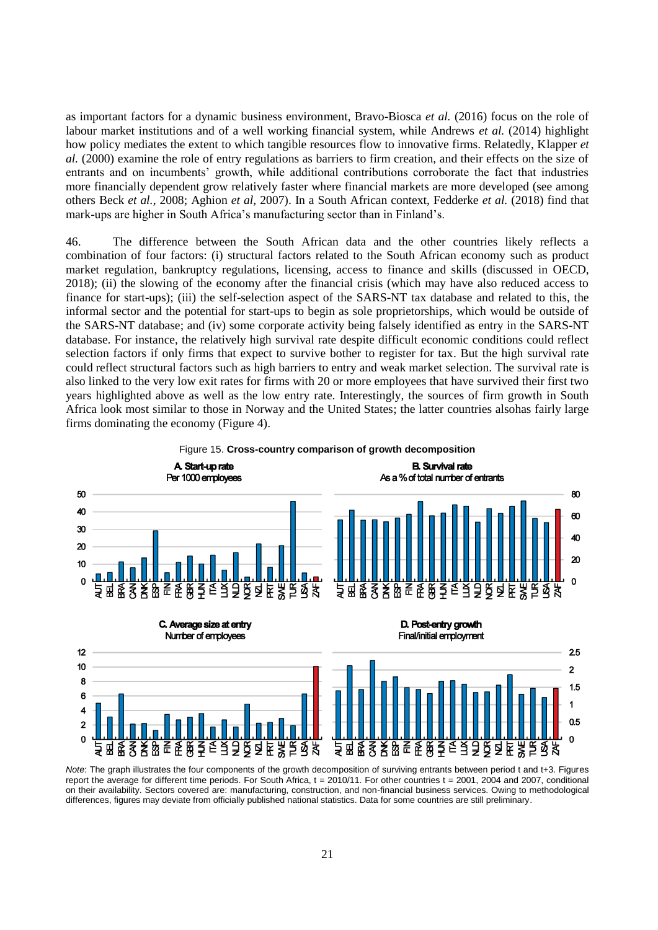as important factors for a dynamic business environment, Bravo-Biosca *et al.* (2016) focus on the role of labour market institutions and of a well working financial system, while Andrews *et al.* (2014) highlight how policy mediates the extent to which tangible resources flow to innovative firms. Relatedly, Klapper *et al.* (2000) examine the role of entry regulations as barriers to firm creation, and their effects on the size of entrants and on incumbents' growth, while additional contributions corroborate the fact that industries more financially dependent grow relatively faster where financial markets are more developed (see among others Beck *et al.*, 2008; Aghion *et al,* 2007). In a South African context, Fedderke *et al.* (2018) find that mark-ups are higher in South Africa's manufacturing sector than in Finland's.

46. The difference between the South African data and the other countries likely reflects a combination of four factors: (i) structural factors related to the South African economy such as product market regulation, bankruptcy regulations, licensing, access to finance and skills (discussed in OECD, 2018); (ii) the slowing of the economy after the financial crisis (which may have also reduced access to finance for start-ups); (iii) the self-selection aspect of the SARS-NT tax database and related to this, the informal sector and the potential for start-ups to begin as sole proprietorships, which would be outside of the SARS-NT database; and (iv) some corporate activity being falsely identified as entry in the SARS-NT database. For instance, the relatively high survival rate despite difficult economic conditions could reflect selection factors if only firms that expect to survive bother to register for tax. But the high survival rate could reflect structural factors such as high barriers to entry and weak market selection. The survival rate is also linked to the very low exit rates for firms with 20 or more employees that have survived their first two years highlighted above as well as the low entry rate. Interestingly, the sources of firm growth in South Africa look most similar to those in Norway and the United States; the latter countries alsohas fairly large firms dominating the economy (Figure 4).



*Note*: The graph illustrates the four components of the growth decomposition of surviving entrants between period t and t+3. Figures report the average for different time periods. For South Africa, t = 2010/11. For other countries t = 2001, 2004 and 2007, conditional on their availability. Sectors covered are: manufacturing, construction, and non-financial business services. Owing to methodological differences, figures may deviate from officially published national statistics. Data for some countries are still preliminary.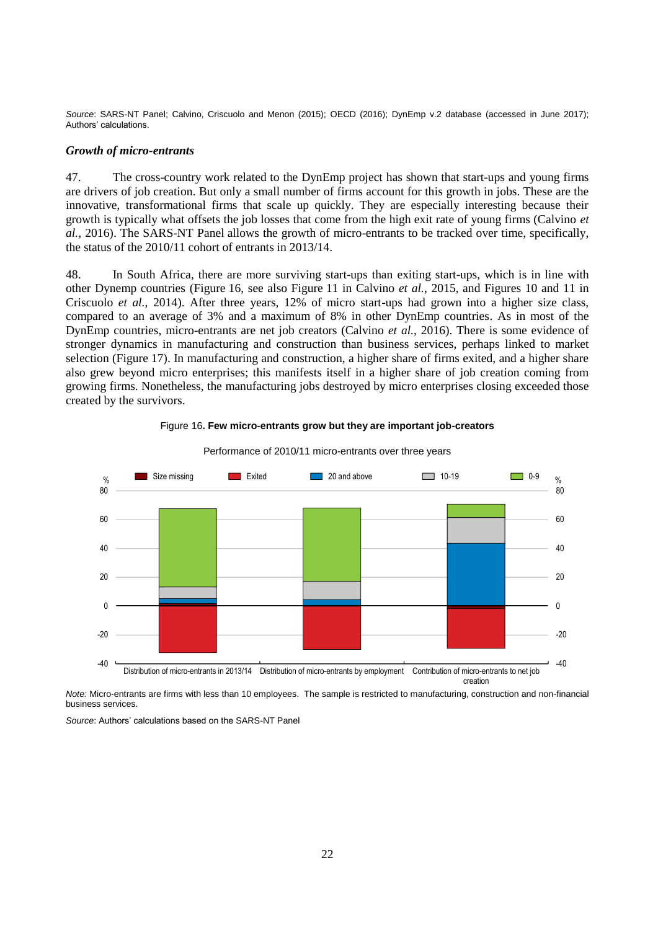*Source*: SARS-NT Panel; Calvino, Criscuolo and Menon (2015); OECD (2016); DynEmp v.2 database (accessed in June 2017); Authors' calculations.

### *Growth of micro-entrants*

47. The cross-country work related to the DynEmp project has shown that start-ups and young firms are drivers of job creation. But only a small number of firms account for this growth in jobs. These are the innovative, transformational firms that scale up quickly. They are especially interesting because their growth is typically what offsets the job losses that come from the high exit rate of young firms (Calvino *et al.*, 2016). The SARS-NT Panel allows the growth of micro-entrants to be tracked over time, specifically, the status of the 2010/11 cohort of entrants in 2013/14.

48. In South Africa, there are more surviving start-ups than exiting start-ups, which is in line with other Dynemp countries (Figure 16, see also Figure 11 in Calvino *et al.*, 2015, and Figures 10 and 11 in Criscuolo *et al.*, 2014). After three years, 12% of micro start-ups had grown into a higher size class, compared to an average of 3% and a maximum of 8% in other DynEmp countries. As in most of the DynEmp countries, micro-entrants are net job creators (Calvino *et al.*, 2016). There is some evidence of stronger dynamics in manufacturing and construction than business services, perhaps linked to market selection (Figure 17). In manufacturing and construction, a higher share of firms exited, and a higher share also grew beyond micro enterprises; this manifests itself in a higher share of job creation coming from growing firms. Nonetheless, the manufacturing jobs destroyed by micro enterprises closing exceeded those created by the survivors.



#### Figure 16**. Few micro-entrants grow but they are important job-creators**

Performance of 2010/11 micro-entrants over three years

*Note:* Micro-entrants are firms with less than 10 employees. The sample is restricted to manufacturing, construction and non-financial business services.

*Source*: Authors' calculations based on the SARS-NT Panel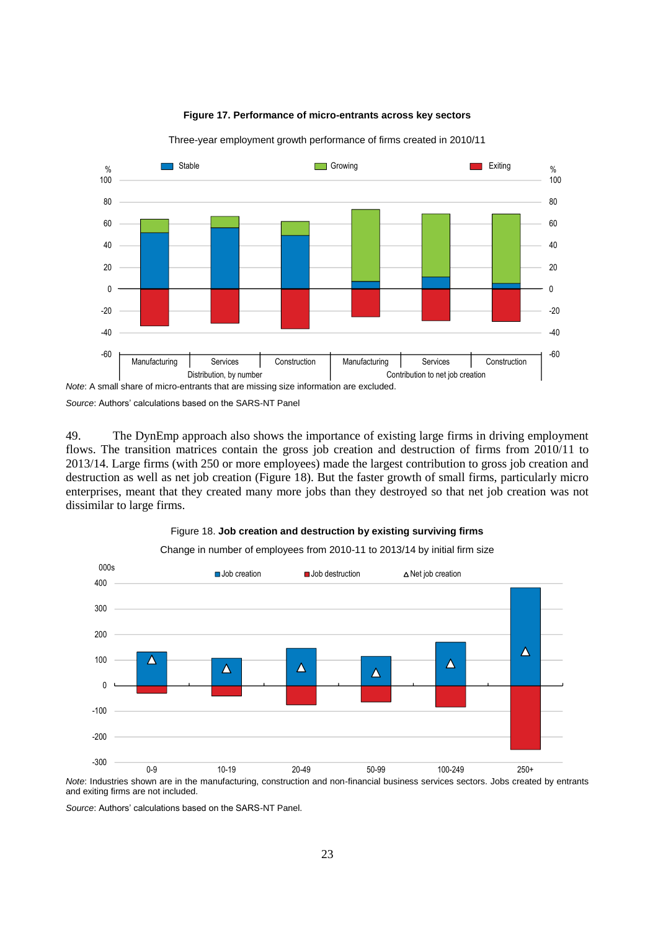

## **Figure 17. Performance of micro-entrants across key sectors**

Three-year employment growth performance of firms created in 2010/11

*Note*: A small share of micro-entrants that are missing size information are excluded.

*Source*: Authors' calculations based on the SARS-NT Panel

49. The DynEmp approach also shows the importance of existing large firms in driving employment flows. The transition matrices contain the gross job creation and destruction of firms from 2010/11 to 2013/14. Large firms (with 250 or more employees) made the largest contribution to gross job creation and destruction as well as net job creation (Figure 18). But the faster growth of small firms, particularly micro enterprises, meant that they created many more jobs than they destroyed so that net job creation was not dissimilar to large firms.

# Figure 18. **Job creation and destruction by existing surviving firms**

Change in number of employees from 2010-11 to 2013/14 by initial firm size



*Note*: Industries shown are in the manufacturing, construction and non-financial business services sectors. Jobs created by entrants and exiting firms are not included.

*Source*: Authors' calculations based on the SARS-NT Panel.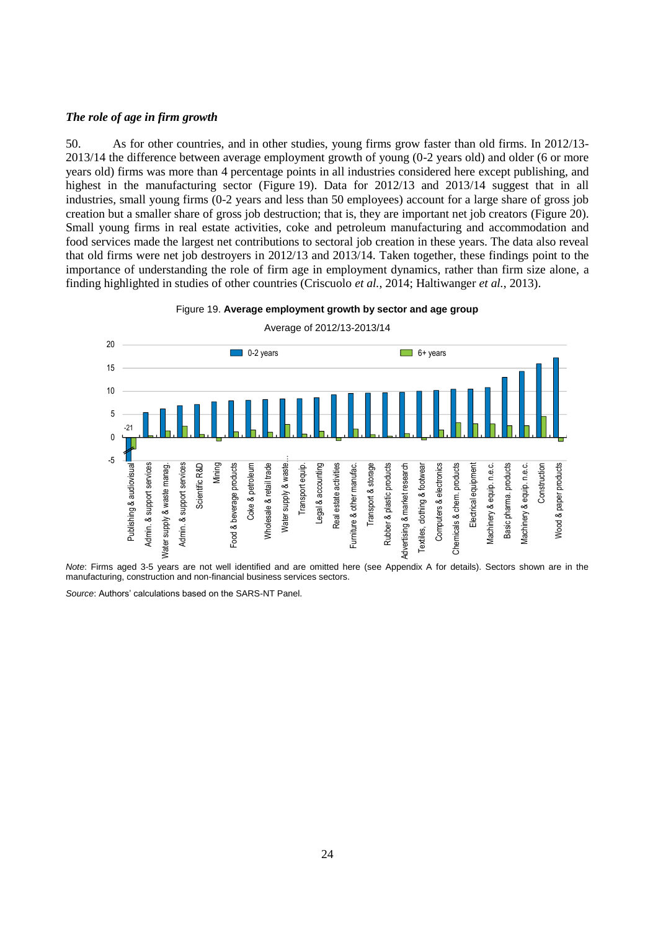## *The role of age in firm growth*

50. As for other countries, and in other studies, young firms grow faster than old firms. In 2012/13- 2013/14 the difference between average employment growth of young (0-2 years old) and older (6 or more years old) firms was more than 4 percentage points in all industries considered here except publishing, and highest in the manufacturing sector (Figure 19). Data for 2012/13 and 2013/14 suggest that in all industries, small young firms (0-2 years and less than 50 employees) account for a large share of gross job creation but a smaller share of gross job destruction; that is, they are important net job creators (Figure 20). Small young firms in real estate activities, coke and petroleum manufacturing and accommodation and food services made the largest net contributions to sectoral job creation in these years. The data also reveal that old firms were net job destroyers in 2012/13 and 2013/14. Taken together, these findings point to the importance of understanding the role of firm age in employment dynamics, rather than firm size alone, a finding highlighted in studies of other countries (Criscuolo *et al.*, 2014; Haltiwanger *et al.*, 2013).

### Figure 19. **Average employment growth by sector and age group**



Average of 2012/13-2013/14

*Note*: Firms aged 3-5 years are not well identified and are omitted here (see Appendix A for details). Sectors shown are in the manufacturing, construction and non-financial business services sectors.

*Source*: Authors' calculations based on the SARS-NT Panel.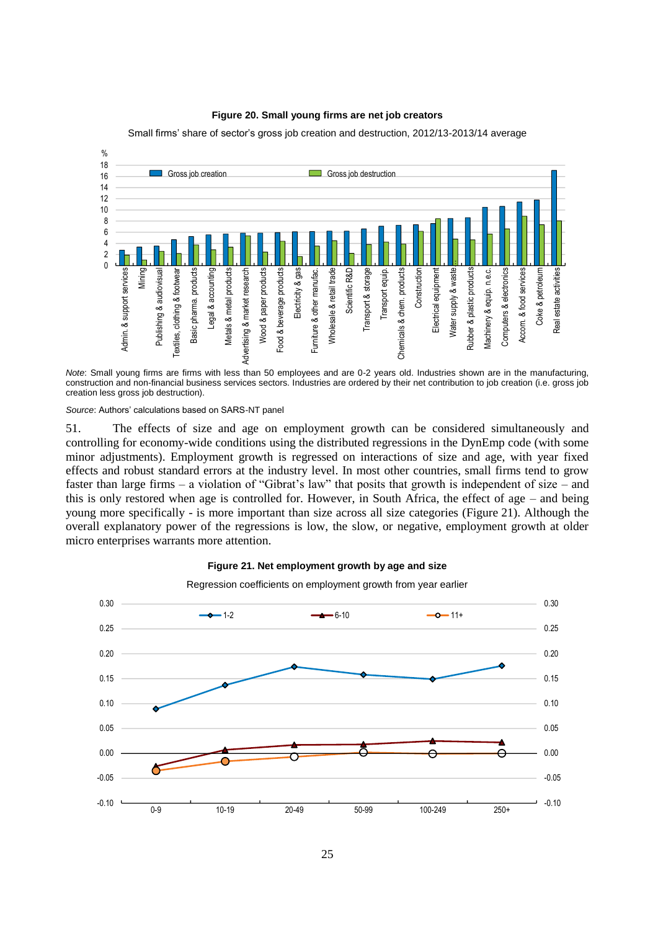## **Figure 20. Small young firms are net job creators**

Small firms' share of sector's gross job creation and destruction, 2012/13-2013/14 average



*Note*: Small young firms are firms with less than 50 employees and are 0-2 years old. Industries shown are in the manufacturing, construction and non-financial business services sectors. Industries are ordered by their net contribution to job creation (i.e. gross job creation less gross job destruction).

*Source*: Authors' calculations based on SARS-NT panel

51. The effects of size and age on employment growth can be considered simultaneously and controlling for economy-wide conditions using the distributed regressions in the DynEmp code (with some minor adjustments). Employment growth is regressed on interactions of size and age, with year fixed effects and robust standard errors at the industry level. In most other countries, small firms tend to grow faster than large firms – a violation of "Gibrat's law" that posits that growth is independent of size – and this is only restored when age is controlled for. However, in South Africa, the effect of age – and being young more specifically - is more important than size across all size categories (Figure 21). Although the overall explanatory power of the regressions is low, the slow, or negative, employment growth at older micro enterprises warrants more attention.



#### **Figure 21. Net employment growth by age and size**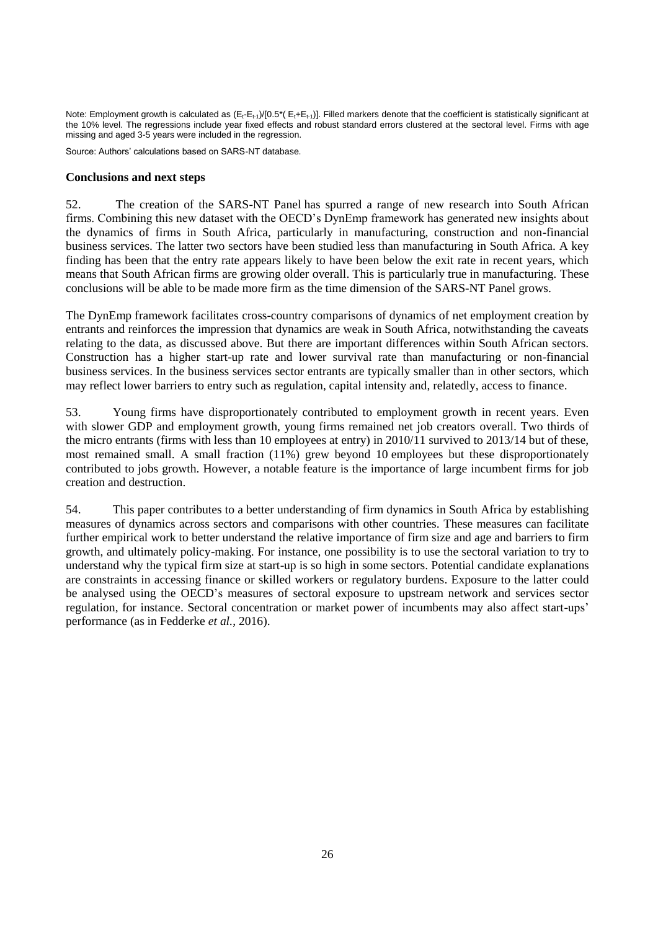Note: Employment growth is calculated as  $(E_t-E_{t-1})/[0.5^*(E_t+E_{t-1})]$ . Filled markers denote that the coefficient is statistically significant at the 10% level. The regressions include year fixed effects and robust standard errors clustered at the sectoral level. Firms with age missing and aged 3-5 years were included in the regression.

Source: Authors' calculations based on SARS-NT database.

## **Conclusions and next steps**

52. The creation of the SARS-NT Panel has spurred a range of new research into South African firms. Combining this new dataset with the OECD's DynEmp framework has generated new insights about the dynamics of firms in South Africa, particularly in manufacturing, construction and non-financial business services. The latter two sectors have been studied less than manufacturing in South Africa. A key finding has been that the entry rate appears likely to have been below the exit rate in recent years, which means that South African firms are growing older overall. This is particularly true in manufacturing. These conclusions will be able to be made more firm as the time dimension of the SARS-NT Panel grows.

The DynEmp framework facilitates cross-country comparisons of dynamics of net employment creation by entrants and reinforces the impression that dynamics are weak in South Africa, notwithstanding the caveats relating to the data, as discussed above. But there are important differences within South African sectors. Construction has a higher start-up rate and lower survival rate than manufacturing or non-financial business services. In the business services sector entrants are typically smaller than in other sectors, which may reflect lower barriers to entry such as regulation, capital intensity and, relatedly, access to finance.

53. Young firms have disproportionately contributed to employment growth in recent years. Even with slower GDP and employment growth, young firms remained net job creators overall. Two thirds of the micro entrants (firms with less than 10 employees at entry) in 2010/11 survived to 2013/14 but of these, most remained small. A small fraction (11%) grew beyond 10 employees but these disproportionately contributed to jobs growth. However, a notable feature is the importance of large incumbent firms for job creation and destruction.

54. This paper contributes to a better understanding of firm dynamics in South Africa by establishing measures of dynamics across sectors and comparisons with other countries. These measures can facilitate further empirical work to better understand the relative importance of firm size and age and barriers to firm growth, and ultimately policy-making. For instance, one possibility is to use the sectoral variation to try to understand why the typical firm size at start-up is so high in some sectors. Potential candidate explanations are constraints in accessing finance or skilled workers or regulatory burdens. Exposure to the latter could be analysed using the OECD's measures of sectoral exposure to upstream network and services sector regulation, for instance. Sectoral concentration or market power of incumbents may also affect start-ups' performance (as in Fedderke *et al.*, 2016).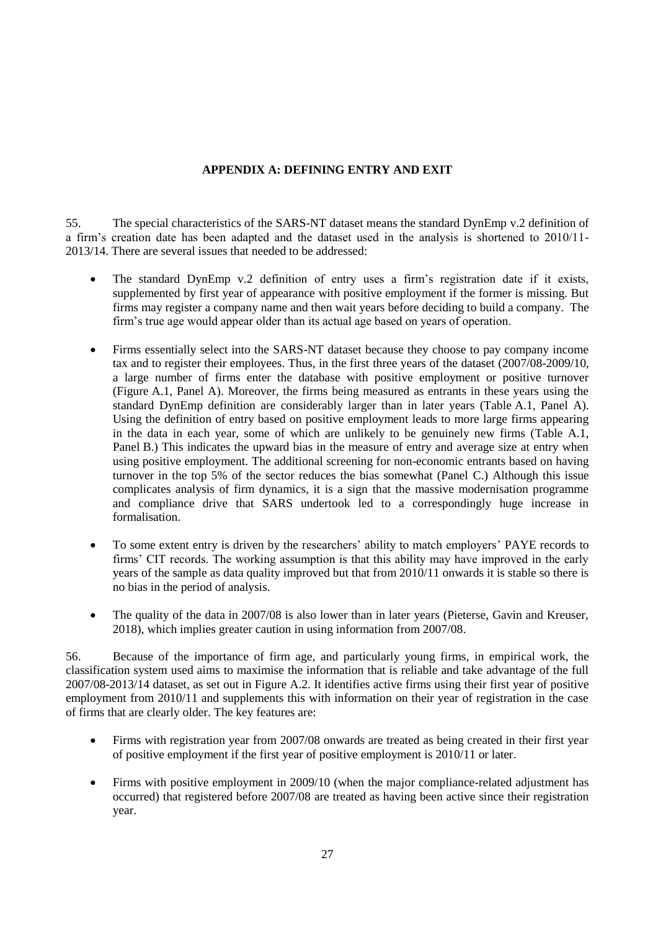# **APPENDIX A: DEFINING ENTRY AND EXIT**

55. The special characteristics of the SARS-NT dataset means the standard DynEmp v.2 definition of a firm's creation date has been adapted and the dataset used in the analysis is shortened to 2010/11- 2013/14. There are several issues that needed to be addressed:

- The standard DynEmp v.2 definition of entry uses a firm's registration date if it exists, supplemented by first year of appearance with positive employment if the former is missing. But firms may register a company name and then wait years before deciding to build a company. The firm's true age would appear older than its actual age based on years of operation.
- Firms essentially select into the SARS-NT dataset because they choose to pay company income tax and to register their employees. Thus, in the first three years of the dataset (2007/08-2009/10, a large number of firms enter the database with positive employment or positive turnover (Figure A.1, Panel A). Moreover, the firms being measured as entrants in these years using the standard DynEmp definition are considerably larger than in later years (Table A.1, Panel A). Using the definition of entry based on positive employment leads to more large firms appearing in the data in each year, some of which are unlikely to be genuinely new firms (Table A.1, Panel B.) This indicates the upward bias in the measure of entry and average size at entry when using positive employment. The additional screening for non-economic entrants based on having turnover in the top 5% of the sector reduces the bias somewhat (Panel C.) Although this issue complicates analysis of firm dynamics, it is a sign that the massive modernisation programme and compliance drive that SARS undertook led to a correspondingly huge increase in formalisation.
- To some extent entry is driven by the researchers' ability to match employers' PAYE records to firms' CIT records. The working assumption is that this ability may have improved in the early years of the sample as data quality improved but that from 2010/11 onwards it is stable so there is no bias in the period of analysis.
- The quality of the data in 2007/08 is also lower than in later years (Pieterse, Gavin and Kreuser, 2018), which implies greater caution in using information from 2007/08.

56. Because of the importance of firm age, and particularly young firms, in empirical work, the classification system used aims to maximise the information that is reliable and take advantage of the full 2007/08-2013/14 dataset, as set out in Figure A.2. It identifies active firms using their first year of positive employment from 2010/11 and supplements this with information on their year of registration in the case of firms that are clearly older. The key features are:

- Firms with registration year from 2007/08 onwards are treated as being created in their first year of positive employment if the first year of positive employment is 2010/11 or later.
- Firms with positive employment in 2009/10 (when the major compliance-related adjustment has occurred) that registered before 2007/08 are treated as having been active since their registration year.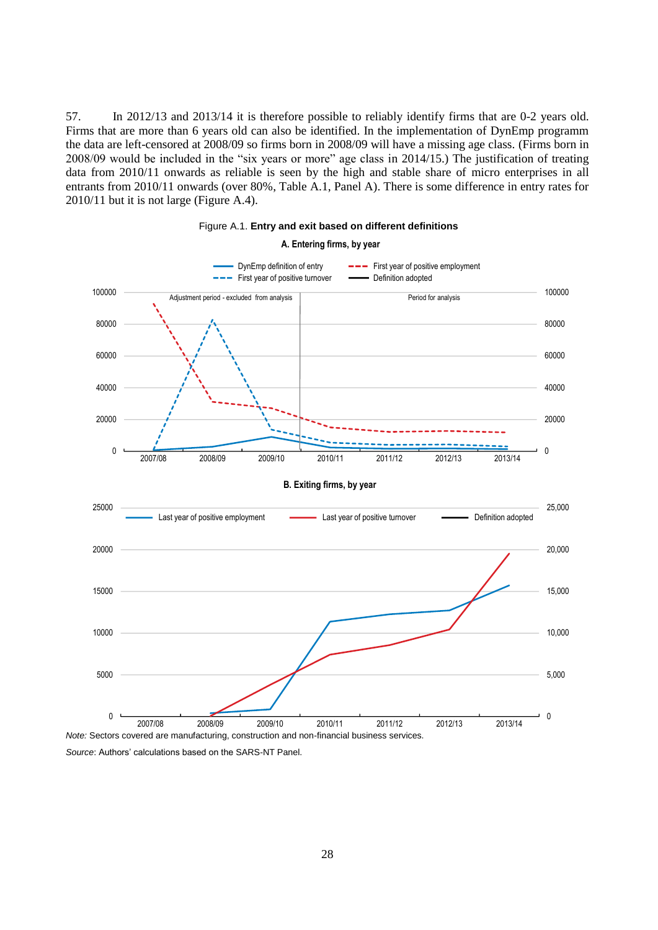57. In 2012/13 and 2013/14 it is therefore possible to reliably identify firms that are 0-2 years old. Firms that are more than 6 years old can also be identified. In the implementation of DynEmp programm the data are left-censored at 2008/09 so firms born in 2008/09 will have a missing age class. (Firms born in 2008/09 would be included in the "six years or more" age class in 2014/15.) The justification of treating data from 2010/11 onwards as reliable is seen by the high and stable share of micro enterprises in all entrants from 2010/11 onwards (over 80%, Table A.1, Panel A). There is some difference in entry rates for 2010/11 but it is not large (Figure A.4).



# Figure A.1. **Entry and exit based on different definitions A. Entering firms, by year**

*Source*: Authors' calculations based on the SARS-NT Panel.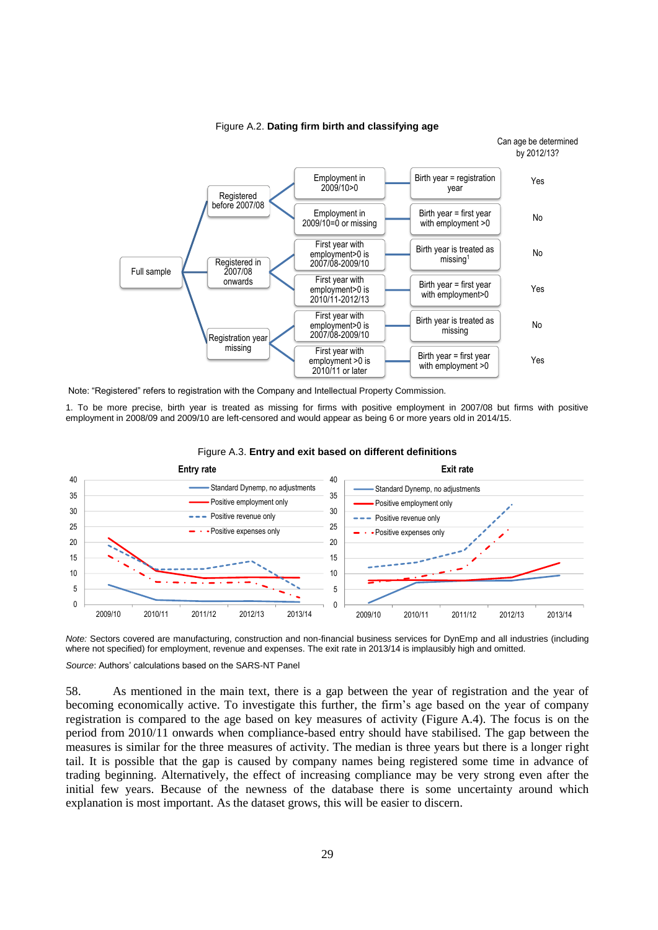

Figure A.2. **Dating firm birth and classifying age**

Note: "Registered" refers to registration with the Company and Intellectual Property Commission.

1. To be more precise, birth year is treated as missing for firms with positive employment in 2007/08 but firms with positive employment in 2008/09 and 2009/10 are left-censored and would appear as being 6 or more years old in 2014/15.





*Note:* Sectors covered are manufacturing, construction and non-financial business services for DynEmp and all industries (including where not specified) for employment, revenue and expenses. The exit rate in 2013/14 is implausibly high and omitted.

*Source*: Authors' calculations based on the SARS-NT Panel

58. As mentioned in the main text, there is a gap between the year of registration and the year of becoming economically active. To investigate this further, the firm's age based on the year of company registration is compared to the age based on key measures of activity (Figure A.4). The focus is on the period from 2010/11 onwards when compliance-based entry should have stabilised. The gap between the measures is similar for the three measures of activity. The median is three years but there is a longer right tail. It is possible that the gap is caused by company names being registered some time in advance of trading beginning. Alternatively, the effect of increasing compliance may be very strong even after the initial few years. Because of the newness of the database there is some uncertainty around which explanation is most important. As the dataset grows, this will be easier to discern.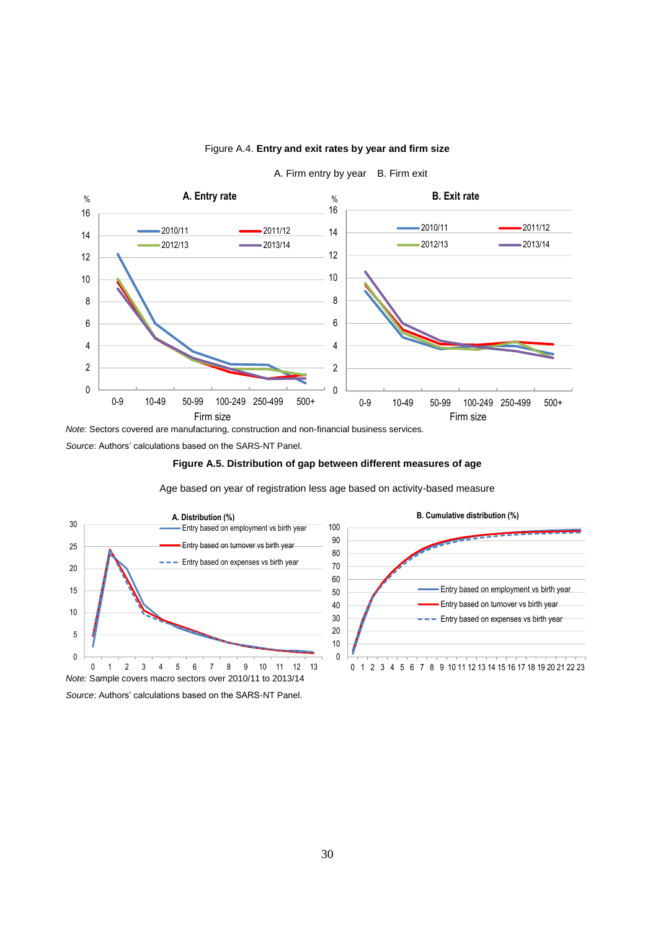

## Figure A.4. **Entry and exit rates by year and firm size**

A. Firm entry by year B. Firm exit

*Note:* Sectors covered are manufacturing, construction and non-financial business services.

*Source*: Authors' calculations based on the SARS-NT Panel.

**Figure A.5. Distribution of gap between different measures of age** 

Age based on year of registration less age based on activity-based measure



*Source*: Authors' calculations based on the SARS-NT Panel.

**B. Cumulative distribution (%)**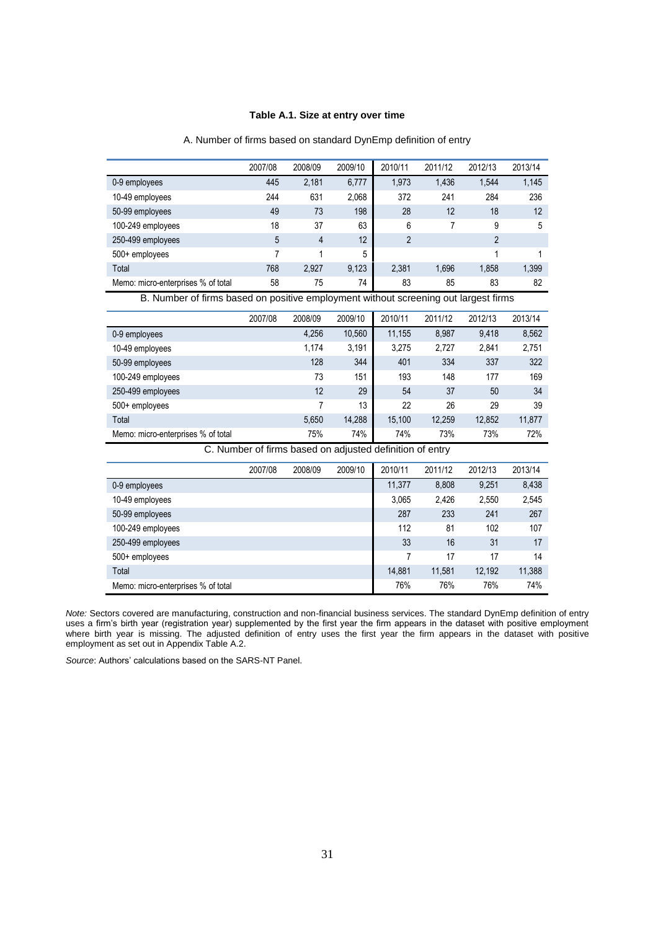## **Table A.1. Size at entry over time**

|                                    | 2007/08 | 2008/09 | 2009/10 | 2010/11 | 2011/12 | 2012/13 | 2013/14 |
|------------------------------------|---------|---------|---------|---------|---------|---------|---------|
| 0-9 employees                      | 445     | 2.181   | 6,777   | 1,973   | 1,436   | 1.544   | 1,145   |
| 10-49 employees                    | 244     | 631     | 2,068   | 372     | 241     | 284     | 236     |
| 50-99 employees                    | 49      | 73      | 198     | 28      | 12      | 18      | 12      |
| 100-249 employees                  | 18      | 37      | 63      | 6       |         | 9       | 5       |
| 250-499 employees                  | 5       | 4       | 12      | 2       |         | 2       |         |
| $500+$ employees                   |         |         | 5       |         |         |         |         |
| Total                              | 768     | 2,927   | 9,123   | 2.381   | 1.696   | 1.858   | 1,399   |
| Memo: micro-enterprises % of total | 58      | 75      | 74      | 83      | 85      | 83      | 82      |

### A. Number of firms based on standard DynEmp definition of entry

B. Number of firms based on positive employment without screening out largest firms

|                                    | 2007/08 | 2008/09 | 2009/10 | 2010/11 | 2011/12 | 2012/13 | 2013/14 |
|------------------------------------|---------|---------|---------|---------|---------|---------|---------|
| 0-9 employees                      |         | 4,256   | 10,560  | 11,155  | 8,987   | 9,418   | 8,562   |
| 10-49 employees                    |         | 1.174   | 3.191   | 3,275   | 2,727   | 2,841   | 2,751   |
| 50-99 employees                    |         | 128     | 344     | 401     | 334     | 337     | 322     |
| 100-249 employees                  |         | 73      | 151     | 193     | 148     | 177     | 169     |
| 250-499 employees                  |         | 12      | 29      | 54      | 37      | 50      | 34      |
| $500+$ employees                   |         | 7       | 13      | 22      | 26      | 29      | 39      |
| Total                              |         | 5,650   | 14,288  | 15,100  | 12,259  | 12.852  | 11,877  |
| Memo: micro-enterprises % of total |         | 75%     | 74%     | 74%     | 73%     | 73%     | 72%     |

C. Number of firms based on adjusted definition of entry

|                                    | 2007/08 | 2008/09 | 2009/10 | 2010/11 | 2011/12 | 2012/13 | 2013/14 |
|------------------------------------|---------|---------|---------|---------|---------|---------|---------|
| 0-9 employees                      |         |         |         | 11,377  | 8,808   | 9,251   | 8,438   |
| 10-49 employees                    |         |         |         | 3,065   | 2,426   | 2,550   | 2,545   |
| 50-99 employees                    |         |         |         | 287     | 233     | 241     | 267     |
| 100-249 employees                  |         |         |         | 112     | 81      | 102     | 107     |
| 250-499 employees                  |         |         |         | 33      | 16      | 31      | 17      |
| 500+ employees                     |         |         |         |         | 17      | 17      | 14      |
| Total                              |         |         |         | 14,881  | 11,581  | 12,192  | 11,388  |
| Memo: micro-enterprises % of total |         |         |         | 76%     | 76%     | 76%     | 74%     |

*Note:* Sectors covered are manufacturing, construction and non-financial business services. The standard DynEmp definition of entry uses a firm's birth year (registration year) supplemented by the first year the firm appears in the dataset with positive employment where birth year is missing. The adjusted definition of entry uses the first year the firm appears in the dataset with positive employment as set out in Appendix Table A.2.

*Source*: Authors' calculations based on the SARS-NT Panel.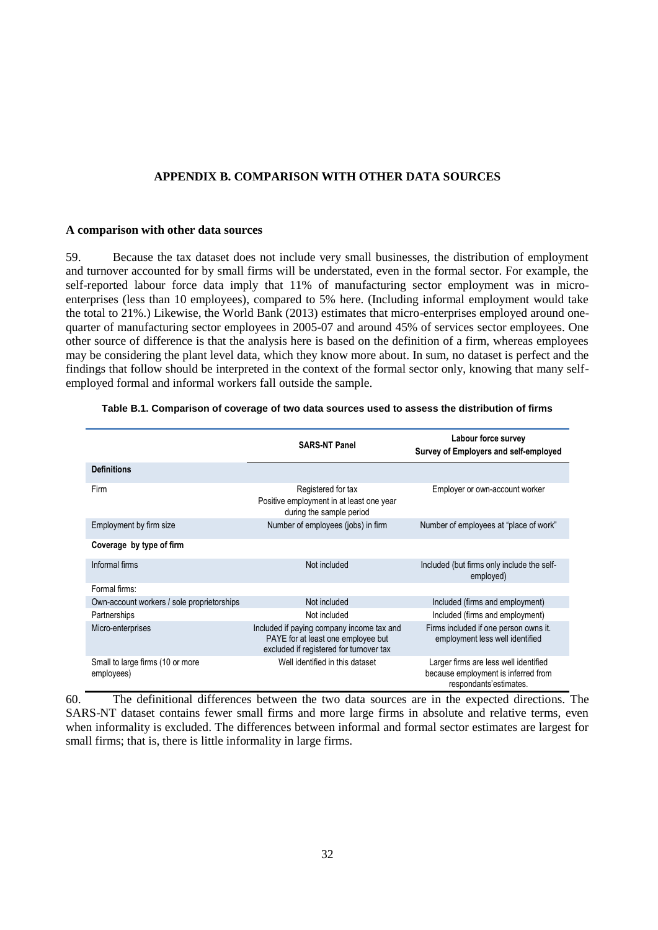## **APPENDIX B. COMPARISON WITH OTHER DATA SOURCES**

### **A comparison with other data sources**

59. Because the tax dataset does not include very small businesses, the distribution of employment and turnover accounted for by small firms will be understated, even in the formal sector. For example, the self-reported labour force data imply that 11% of manufacturing sector employment was in microenterprises (less than 10 employees), compared to 5% here. (Including informal employment would take the total to 21%.) Likewise, the World Bank (2013) estimates that micro-enterprises employed around onequarter of manufacturing sector employees in 2005-07 and around 45% of services sector employees. One other source of difference is that the analysis here is based on the definition of a firm, whereas employees may be considering the plant level data, which they know more about. In sum, no dataset is perfect and the findings that follow should be interpreted in the context of the formal sector only, knowing that many selfemployed formal and informal workers fall outside the sample.

|                                                | <b>SARS-NT Panel</b>                                                                                                       | Labour force survey<br>Survey of Employers and self-employed                                           |  |  |
|------------------------------------------------|----------------------------------------------------------------------------------------------------------------------------|--------------------------------------------------------------------------------------------------------|--|--|
| <b>Definitions</b>                             |                                                                                                                            |                                                                                                        |  |  |
| Firm                                           | Registered for tax<br>Positive employment in at least one year<br>during the sample period                                 | Employer or own-account worker                                                                         |  |  |
| Employment by firm size                        | Number of employees (jobs) in firm                                                                                         | Number of employees at "place of work"                                                                 |  |  |
| Coverage by type of firm                       |                                                                                                                            |                                                                                                        |  |  |
| Informal firms                                 | Not included                                                                                                               | Included (but firms only include the self-<br>employed)                                                |  |  |
| Formal firms:                                  |                                                                                                                            |                                                                                                        |  |  |
| Own-account workers / sole proprietorships     | Not included                                                                                                               | Included (firms and employment)                                                                        |  |  |
| Partnerships                                   | Not included                                                                                                               | Included (firms and employment)                                                                        |  |  |
| Micro-enterprises                              | Included if paying company income tax and<br>PAYE for at least one employee but<br>excluded if registered for turnover tax | Firms included if one person owns it.<br>employment less well identified                               |  |  |
| Small to large firms (10 or more<br>employees) | Well identified in this dataset                                                                                            | Larger firms are less well identified<br>because employment is inferred from<br>respondants'estimates. |  |  |

**Table B.1. Comparison of coverage of two data sources used to assess the distribution of firms**

60. The definitional differences between the two data sources are in the expected directions. The SARS-NT dataset contains fewer small firms and more large firms in absolute and relative terms, even when informality is excluded. The differences between informal and formal sector estimates are largest for small firms; that is, there is little informality in large firms.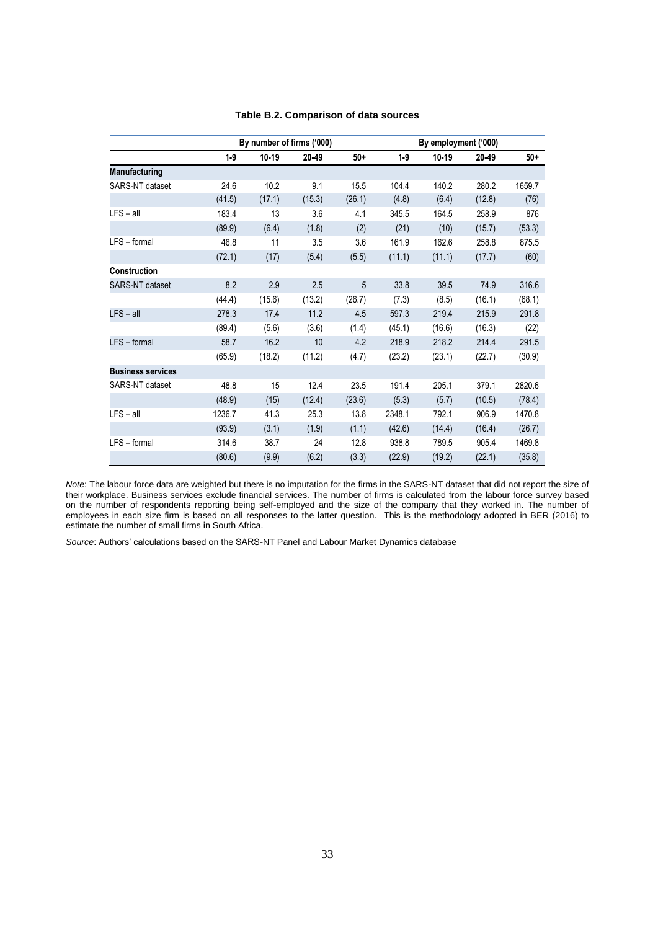|                          | By number of firms ('000) |         |        |        | By employment ('000) |        |        |        |
|--------------------------|---------------------------|---------|--------|--------|----------------------|--------|--------|--------|
|                          | $1-9$                     | $10-19$ | 20-49  | $50+$  | $1-9$                | 10-19  | 20-49  | $50+$  |
| Manufacturing            |                           |         |        |        |                      |        |        |        |
| SARS-NT dataset          | 24.6                      | 10.2    | 9.1    | 15.5   | 104.4                | 140.2  | 280.2  | 1659.7 |
|                          | (41.5)                    | (17.1)  | (15.3) | (26.1) | (4.8)                | (6.4)  | (12.8) | (76)   |
| $LFS - all$              | 183.4                     | 13      | 3.6    | 4.1    | 345.5                | 164.5  | 258.9  | 876    |
|                          | (89.9)                    | (6.4)   | (1.8)  | (2)    | (21)                 | (10)   | (15.7) | (53.3) |
| LFS - formal             | 46.8                      | 11      | 3.5    | 3.6    | 161.9                | 162.6  | 258.8  | 875.5  |
|                          | (72.1)                    | (17)    | (5.4)  | (5.5)  | (11.1)               | (11.1) | (17.7) | (60)   |
| <b>Construction</b>      |                           |         |        |        |                      |        |        |        |
| <b>SARS-NT</b> dataset   | 8.2                       | 2.9     | 2.5    | 5      | 33.8                 | 39.5   | 74.9   | 316.6  |
|                          | (44.4)                    | (15.6)  | (13.2) | (26.7) | (7.3)                | (8.5)  | (16.1) | (68.1) |
| $LFS - all$              | 278.3                     | 17.4    | 11.2   | 4.5    | 597.3                | 219.4  | 215.9  | 291.8  |
|                          | (89.4)                    | (5.6)   | (3.6)  | (1.4)  | (45.1)               | (16.6) | (16.3) | (22)   |
| LFS - formal             | 58.7                      | 16.2    | 10     | 4.2    | 218.9                | 218.2  | 214.4  | 291.5  |
|                          | (65.9)                    | (18.2)  | (11.2) | (4.7)  | (23.2)               | (23.1) | (22.7) | (30.9) |
| <b>Business services</b> |                           |         |        |        |                      |        |        |        |
| SARS-NT dataset          | 48.8                      | 15      | 12.4   | 23.5   | 191.4                | 205.1  | 379.1  | 2820.6 |
|                          | (48.9)                    | (15)    | (12.4) | (23.6) | (5.3)                | (5.7)  | (10.5) | (78.4) |
| $LFS - all$              | 1236.7                    | 41.3    | 25.3   | 13.8   | 2348.1               | 792.1  | 906.9  | 1470.8 |
|                          | (93.9)                    | (3.1)   | (1.9)  | (1.1)  | (42.6)               | (14.4) | (16.4) | (26.7) |
| LFS - formal             | 314.6                     | 38.7    | 24     | 12.8   | 938.8                | 789.5  | 905.4  | 1469.8 |
|                          | (80.6)                    | (9.9)   | (6.2)  | (3.3)  | (22.9)               | (19.2) | (22.1) | (35.8) |

## **Table B.2. Comparison of data sources**

*Note*: The labour force data are weighted but there is no imputation for the firms in the SARS-NT dataset that did not report the size of their workplace. Business services exclude financial services. The number of firms is calculated from the labour force survey based on the number of respondents reporting being self-employed and the size of the company that they worked in. The number of employees in each size firm is based on all responses to the latter question. This is the methodology adopted in BER (2016) to estimate the number of small firms in South Africa.

*Source*: Authors' calculations based on the SARS-NT Panel and Labour Market Dynamics database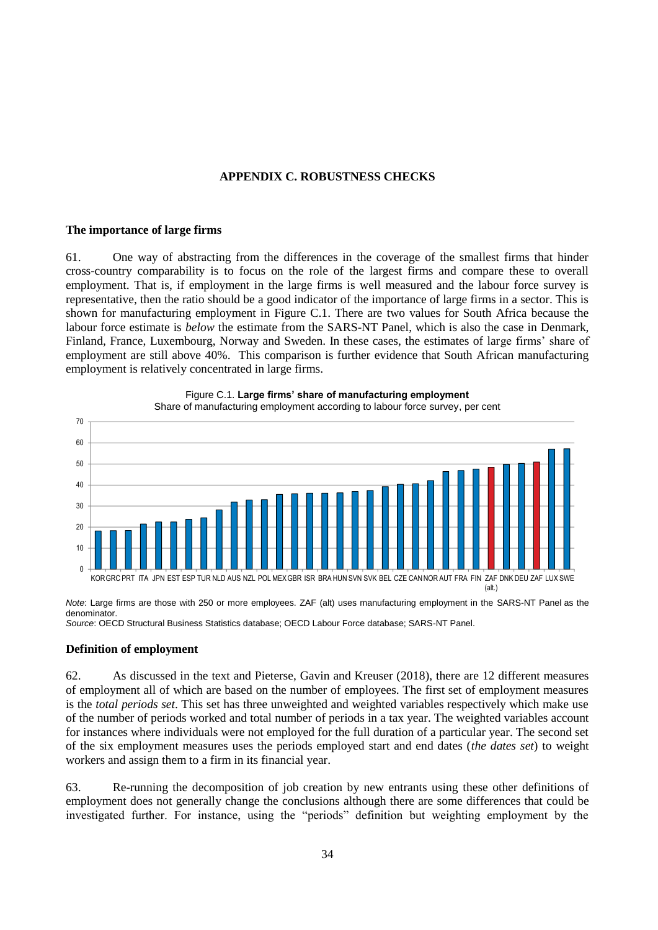## **APPENDIX C. ROBUSTNESS CHECKS**

## **The importance of large firms**

61. One way of abstracting from the differences in the coverage of the smallest firms that hinder cross-country comparability is to focus on the role of the largest firms and compare these to overall employment. That is, if employment in the large firms is well measured and the labour force survey is representative, then the ratio should be a good indicator of the importance of large firms in a sector. This is shown for manufacturing employment in Figure C.1. There are two values for South Africa because the labour force estimate is *below* the estimate from the SARS-NT Panel, which is also the case in Denmark, Finland, France, Luxembourg, Norway and Sweden. In these cases, the estimates of large firms' share of employment are still above 40%. This comparison is further evidence that South African manufacturing employment is relatively concentrated in large firms.



Figure C.1. **Large firms' share of manufacturing employment**

*Note*: Large firms are those with 250 or more employees. ZAF (alt) uses manufacturing employment in the SARS-NT Panel as the denominator.

*Source*: OECD Structural Business Statistics database; OECD Labour Force database; SARS-NT Panel.

# **Definition of employment**

62. As discussed in the text and Pieterse, Gavin and Kreuser (2018), there are 12 different measures of employment all of which are based on the number of employees. The first set of employment measures is the *total periods set*. This set has three unweighted and weighted variables respectively which make use of the number of periods worked and total number of periods in a tax year. The weighted variables account for instances where individuals were not employed for the full duration of a particular year. The second set of the six employment measures uses the periods employed start and end dates (*the dates set*) to weight workers and assign them to a firm in its financial year.

63. Re-running the decomposition of job creation by new entrants using these other definitions of employment does not generally change the conclusions although there are some differences that could be investigated further. For instance, using the "periods" definition but weighting employment by the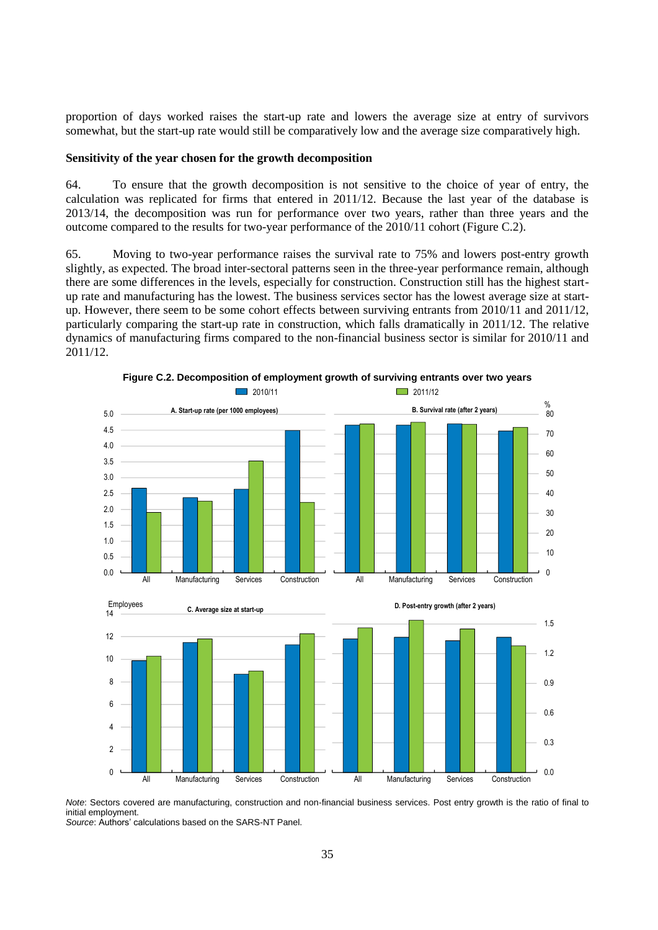proportion of days worked raises the start-up rate and lowers the average size at entry of survivors somewhat, but the start-up rate would still be comparatively low and the average size comparatively high.

### **Sensitivity of the year chosen for the growth decomposition**

64. To ensure that the growth decomposition is not sensitive to the choice of year of entry, the calculation was replicated for firms that entered in 2011/12. Because the last year of the database is 2013/14, the decomposition was run for performance over two years, rather than three years and the outcome compared to the results for two-year performance of the 2010/11 cohort (Figure C.2).

65. Moving to two-year performance raises the survival rate to 75% and lowers post-entry growth slightly, as expected. The broad inter-sectoral patterns seen in the three-year performance remain, although there are some differences in the levels, especially for construction. Construction still has the highest startup rate and manufacturing has the lowest. The business services sector has the lowest average size at startup. However, there seem to be some cohort effects between surviving entrants from 2010/11 and 2011/12, particularly comparing the start-up rate in construction, which falls dramatically in 2011/12. The relative dynamics of manufacturing firms compared to the non-financial business sector is similar for 2010/11 and 2011/12.



**Figure C.2. Decomposition of employment growth of surviving entrants over two years** 

*Note*: Sectors covered are manufacturing, construction and non-financial business services. Post entry growth is the ratio of final to initial employment.

*Source*: Authors' calculations based on the SARS-NT Panel.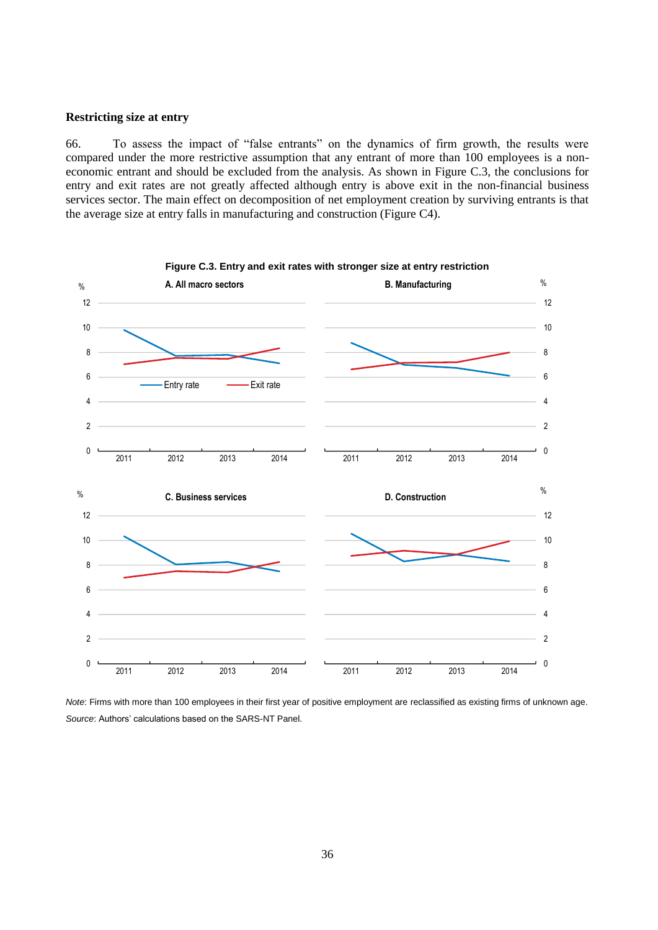## **Restricting size at entry**

66. To assess the impact of "false entrants" on the dynamics of firm growth, the results were compared under the more restrictive assumption that any entrant of more than 100 employees is a noneconomic entrant and should be excluded from the analysis. As shown in Figure C.3, the conclusions for entry and exit rates are not greatly affected although entry is above exit in the non-financial business services sector. The main effect on decomposition of net employment creation by surviving entrants is that the average size at entry falls in manufacturing and construction (Figure C4).



*Note*: Firms with more than 100 employees in their first year of positive employment are reclassified as existing firms of unknown age. *Source*: Authors' calculations based on the SARS-NT Panel.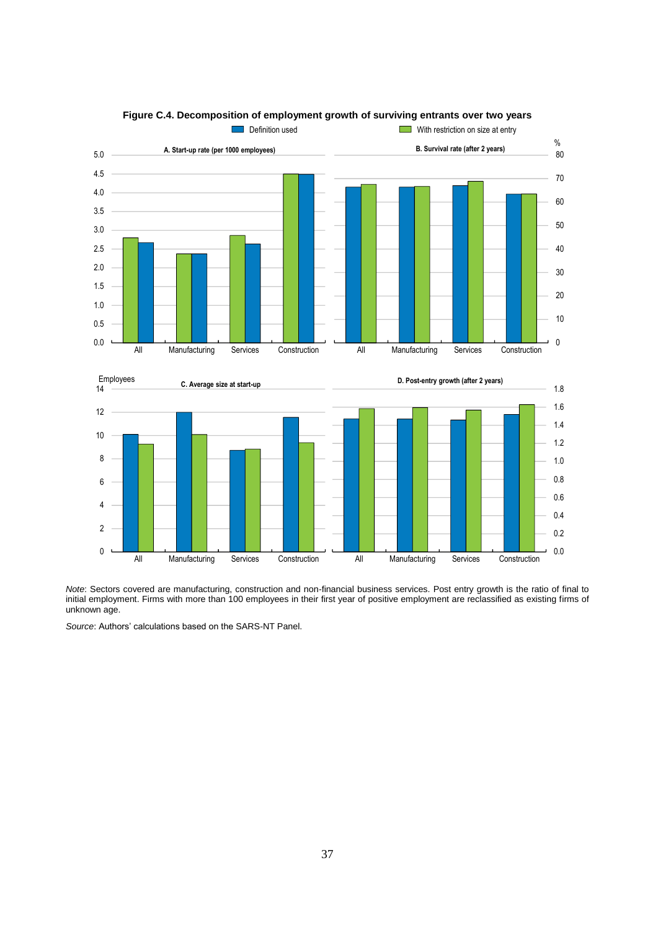

**Figure C.4. Decomposition of employment growth of surviving entrants over two years** 

*Note*: Sectors covered are manufacturing, construction and non-financial business services. Post entry growth is the ratio of final to initial employment. Firms with more than 100 employees in their first year of positive employment are reclassified as existing firms of unknown age.

*Source*: Authors' calculations based on the SARS-NT Panel.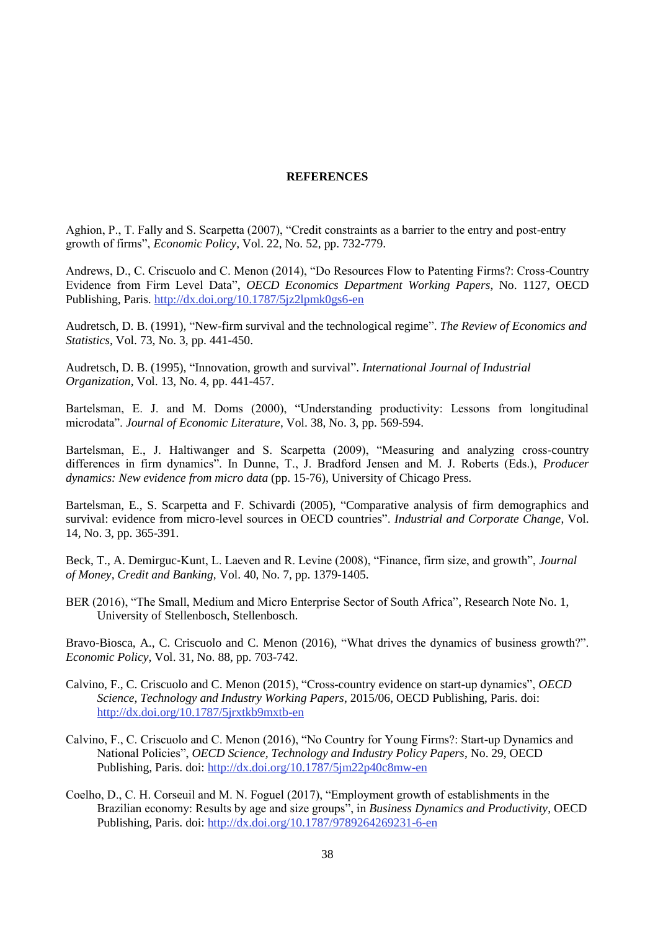## **REFERENCES**

Aghion, P., T. Fally and S. Scarpetta (2007), "Credit constraints as a barrier to the entry and post-entry growth of firms", *Economic Policy,* Vol. 22, No. 52, pp. 732-779.

Andrews, D., C. Criscuolo and C. Menon (2014), "Do Resources Flow to Patenting Firms?: Cross-Country Evidence from Firm Level Data", *OECD Economics Department Working Papers*, No. 1127, OECD Publishing, Paris.<http://dx.doi.org/10.1787/5jz2lpmk0gs6-en>

Audretsch, D. B. (1991), "New-firm survival and the technological regime". *The Review of Economics and Statistics*, Vol. 73, No. 3, pp. 441-450.

Audretsch, D. B. (1995), "Innovation, growth and survival". *International Journal of Industrial Organization*, Vol. 13, No. 4, pp. 441-457.

Bartelsman, E. J. and M. Doms (2000), "Understanding productivity: Lessons from longitudinal microdata". *Journal of Economic Literature*, Vol. 38, No. 3, pp. 569-594.

Bartelsman, E., J. Haltiwanger and S. Scarpetta (2009), "Measuring and analyzing cross-country differences in firm dynamics". In Dunne, T., J. Bradford Jensen and M. J. Roberts (Eds.), *Producer dynamics: New evidence from micro data* (pp. 15-76), University of Chicago Press.

Bartelsman, E., S. Scarpetta and F. Schivardi (2005), "Comparative analysis of firm demographics and survival: evidence from micro-level sources in OECD countries". *Industrial and Corporate Change*, Vol. 14, No. 3, pp. 365-391.

Beck, T., A. Demirguc‐Kunt, L. Laeven and R. Levine (2008), "Finance, firm size, and growth", *Journal of Money, Credit and Banking,* Vol. 40, No. 7, pp. 1379-1405.

BER (2016), "The Small, Medium and Micro Enterprise Sector of South Africa", Research Note No. 1, University of Stellenbosch, Stellenbosch.

Bravo-Biosca, A., C. Criscuolo and C. Menon (2016), "What drives the dynamics of business growth?". *Economic Policy*, Vol. 31, No. 88, pp. 703-742.

- Calvino, F., C. Criscuolo and C. Menon (2015), "Cross-country evidence on start-up dynamics", *OECD Science, Technology and Industry Working Papers*, 2015/06, OECD Publishing, Paris. doi: <http://dx.doi.org/10.1787/5jrxtkb9mxtb-en>
- Calvino, F., C. Criscuolo and C. Menon (2016), "No Country for Young Firms?: Start-up Dynamics and National Policies", *OECD Science, Technology and Industry Policy Papers*, No. 29, OECD Publishing, Paris. doi:<http://dx.doi.org/10.1787/5jm22p40c8mw-en>
- Coelho, D., C. H. Corseuil and M. N. Foguel (2017), "Employment growth of establishments in the Brazilian economy: Results by age and size groups", in *Business Dynamics and Productivity*, OECD Publishing, Paris. doi:<http://dx.doi.org/10.1787/9789264269231-6-en>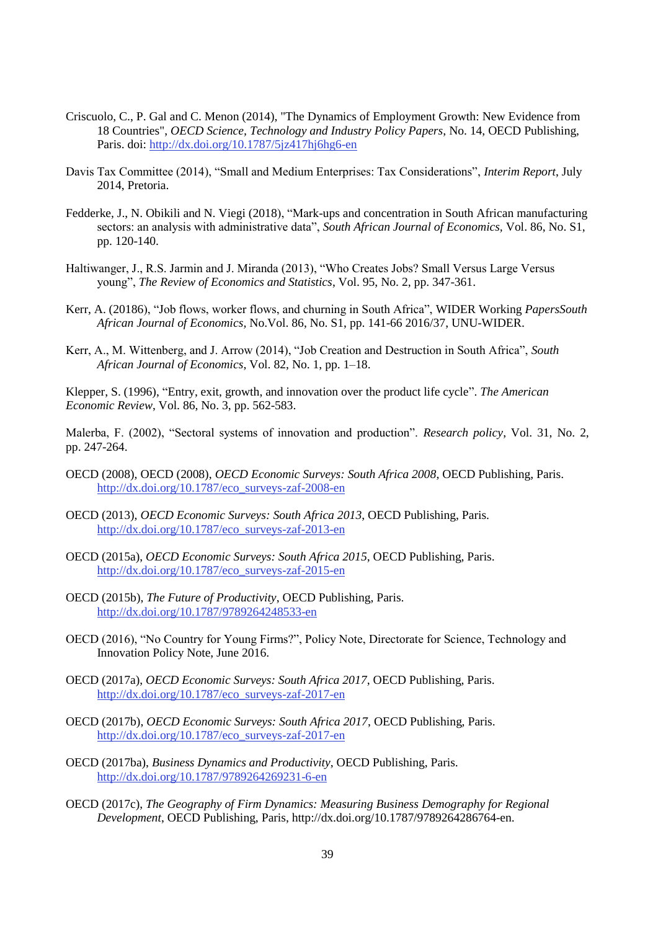- Criscuolo, C., P. Gal and C. Menon (2014), "The Dynamics of Employment Growth: New Evidence from 18 Countries", *OECD Science, Technology and Industry Policy Papers*, No. 14, OECD Publishing, Paris. doi:<http://dx.doi.org/10.1787/5jz417hj6hg6-en>
- Davis Tax Committee (2014), "Small and Medium Enterprises: Tax Considerations", *Interim Report*, July 2014, Pretoria.
- Fedderke, J., N. Obikili and N. Viegi (2018), "Mark-ups and concentration in South African manufacturing sectors: an analysis with administrative data", *South African Journal of Economics,* Vol. 86, No. S1, pp. 120-140.
- Haltiwanger, J., R.S. Jarmin and J. Miranda (2013), "Who Creates Jobs? Small Versus Large Versus young", *The Review of Economics and Statistics*, Vol. 95, No. 2, pp. 347-361.
- Kerr, A. (20186), "Job flows, worker flows, and churning in South Africa", WIDER Working *PapersSouth African Journal of Economics,* No.Vol. 86, No. S1, pp. 141-66 2016/37, UNU-WIDER.
- Kerr, A., M. Wittenberg, and J. Arrow (2014), "Job Creation and Destruction in South Africa", *South African Journal of Economics*, Vol. 82, No. 1, pp. 1–18.

Klepper, S. (1996), "Entry, exit, growth, and innovation over the product life cycle". *The American Economic Review*, Vol. 86, No. 3, pp. 562-583.

Malerba, F. (2002), "Sectoral systems of innovation and production". *Research policy*, Vol. 31, No. 2, pp. 247-264.

- OECD (2008), OECD (2008), *OECD Economic Surveys: South Africa 2008*, OECD Publishing, Paris. [http://dx.doi.org/10.1787/eco\\_surveys-zaf-2008-en](http://dx.doi.org/10.1787/eco_surveys-zaf-2008-en)
- OECD (2013), *OECD Economic Surveys: South Africa 2013*, OECD Publishing, Paris. [http://dx.doi.org/10.1787/eco\\_surveys-zaf-2013-en](http://dx.doi.org/10.1787/eco_surveys-zaf-2013-en)
- OECD (2015a), *OECD Economic Surveys: South Africa 2015*, OECD Publishing, Paris. [http://dx.doi.org/10.1787/eco\\_surveys-zaf-2015-en](http://dx.doi.org/10.1787/eco_surveys-zaf-2015-en)
- OECD (2015b), *The Future of Productivity*, OECD Publishing, Paris. <http://dx.doi.org/10.1787/9789264248533-en>
- OECD (2016), "No Country for Young Firms?", Policy Note, Directorate for Science, Technology and Innovation Policy Note, June 2016.
- OECD (2017a), *OECD Economic Surveys: South Africa 2017*, OECD Publishing, Paris. [http://dx.doi.org/10.1787/eco\\_surveys-zaf-2017-en](http://dx.doi.org/10.1787/eco_surveys-zaf-2017-en)
- OECD (2017b), *OECD Economic Surveys: South Africa 2017*, OECD Publishing, Paris. [http://dx.doi.org/10.1787/eco\\_surveys-zaf-2017-en](http://dx.doi.org/10.1787/eco_surveys-zaf-2017-en)
- OECD (2017ba), *Business Dynamics and Productivity*, OECD Publishing, Paris. <http://dx.doi.org/10.1787/9789264269231-6-en>
- OECD (2017c), *The Geography of Firm Dynamics: Measuring Business Demography for Regional Development*, OECD Publishing, Paris, http://dx.doi.org/10.1787/9789264286764-en.